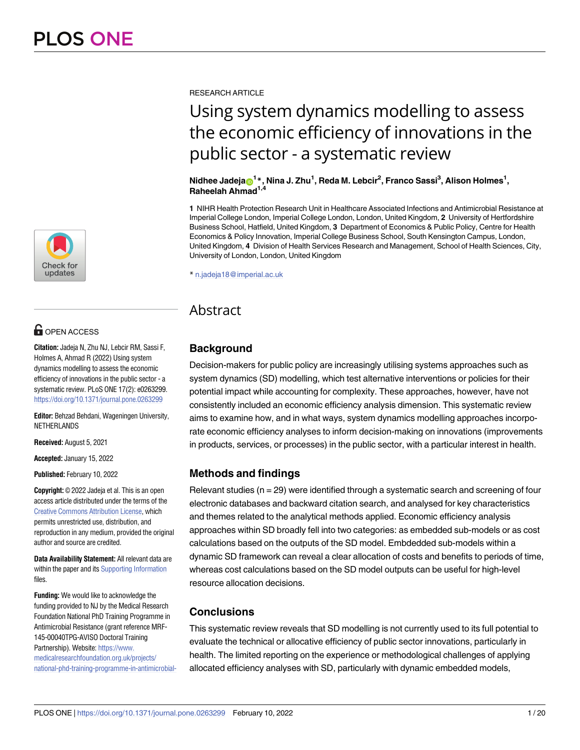

# **OPEN ACCESS**

**Citation:** Jadeja N, Zhu NJ, Lebcir RM, Sassi F, Holmes A, Ahmad R (2022) Using system dynamics modelling to assess the economic efficiency of innovations in the public sector - a systematic review. PLoS ONE 17(2): e0263299. <https://doi.org/10.1371/journal.pone.0263299>

**Editor:** Behzad Behdani, Wageningen University, NETHERLANDS

**Received:** August 5, 2021

**Accepted:** January 15, 2022

**Published:** February 10, 2022

**Copyright:** © 2022 Jadeja et al. This is an open access article distributed under the terms of the Creative Commons [Attribution](http://creativecommons.org/licenses/by/4.0/) License, which permits unrestricted use, distribution, and reproduction in any medium, provided the original author and source are credited.

**Data Availability Statement:** All relevant data are within the paper and its Supporting [Information](#page-15-0) files.

**Funding:** We would like to acknowledge the funding provided to NJ by the Medical Research Foundation National PhD Training Programme in Antimicrobial Resistance (grant reference MRF-145-00040TPG-AVISO Doctoral Training Partnership). Website: [https://www.](https://www.medicalresearchfoundation.org.uk/projects/national-phd-training-programme-in-antimicrobial-resistance-research) [medicalresearchfoundation.org.uk/projects/](https://www.medicalresearchfoundation.org.uk/projects/national-phd-training-programme-in-antimicrobial-resistance-research) [national-phd-training-programme-in-antimicrobial-](https://www.medicalresearchfoundation.org.uk/projects/national-phd-training-programme-in-antimicrobial-resistance-research) RESEARCH ARTICLE

# Using system dynamics modelling to assess the economic efficiency of innovations in the public sector - a systematic review

Nidhee Jadeja $\mathrm{e}^{1*}$ , Nina J. Zhu $^1$ , Reda M. Lebcir $^2$ , Franco Sassi $^3$ , Alison Holmes $^1,$ **Raheelah Ahmad1,4**

**1** NIHR Health Protection Research Unit in Healthcare Associated Infections and Antimicrobial Resistance at Imperial College London, Imperial College London, London, United Kingdom, **2** University of Hertfordshire Business School, Hatfield, United Kingdom, **3** Department of Economics & Public Policy, Centre for Health Economics & Policy Innovation, Imperial College Business School, South Kensington Campus, London, United Kingdom, **4** Division of Health Services Research and Management, School of Health Sciences, City, University of London, London, United Kingdom

\* n.jadeja18@imperial.ac.uk

# Abstract

## **Background**

Decision-makers for public policy are increasingly utilising systems approaches such as system dynamics (SD) modelling, which test alternative interventions or policies for their potential impact while accounting for complexity. These approaches, however, have not consistently included an economic efficiency analysis dimension. This systematic review aims to examine how, and in what ways, system dynamics modelling approaches incorporate economic efficiency analyses to inform decision-making on innovations (improvements in products, services, or processes) in the public sector, with a particular interest in health.

## **Methods and findings**

Relevant studies ( $n = 29$ ) were identified through a systematic search and screening of four electronic databases and backward citation search, and analysed for key characteristics and themes related to the analytical methods applied. Economic efficiency analysis approaches within SD broadly fell into two categories: as embedded sub-models or as cost calculations based on the outputs of the SD model. Embdedded sub-models within a dynamic SD framework can reveal a clear allocation of costs and benefits to periods of time, whereas cost calculations based on the SD model outputs can be useful for high-level resource allocation decisions.

## **Conclusions**

This systematic review reveals that SD modelling is not currently used to its full potential to evaluate the technical or allocative efficiency of public sector innovations, particularly in health. The limited reporting on the experience or methodological challenges of applying allocated efficiency analyses with SD, particularly with dynamic embedded models,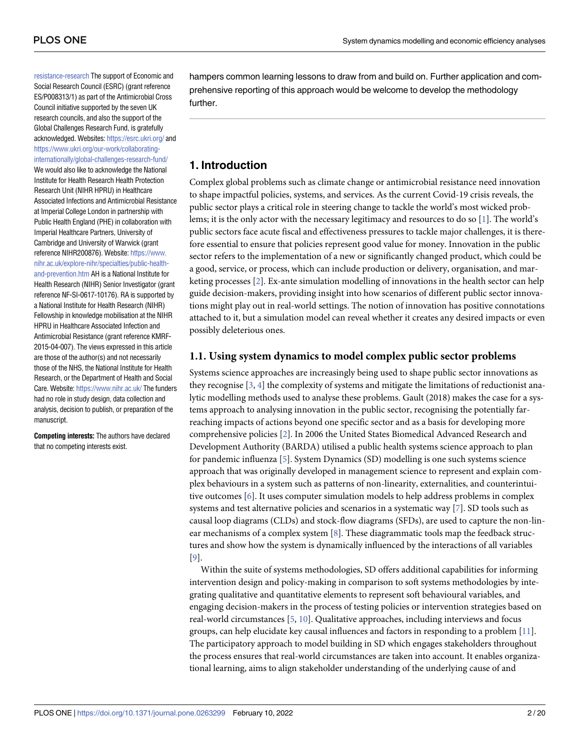<span id="page-1-0"></span>[resistance-research](https://www.medicalresearchfoundation.org.uk/projects/national-phd-training-programme-in-antimicrobial-resistance-research) The support of Economic and Social Research Council (ESRC) (grant reference ES/P008313/1) as part of the Antimicrobial Cross Council initiative supported by the seven UK research councils, and also the support of the Global Challenges Research Fund, is gratefully acknowledged. Websites: <https://esrc.ukri.org/> and [https://www.ukri.org/our-work/collaborating](https://www.ukri.org/our-work/collaborating-internationally/global-challenges-research-fund/)[internationally/global-challenges-research-fund/](https://www.ukri.org/our-work/collaborating-internationally/global-challenges-research-fund/) We would also like to acknowledge the National Institute for Health Research Health Protection Research Unit (NIHR HPRU) in Healthcare Associated Infections and Antimicrobial Resistance at Imperial College London in partnership with Public Health England (PHE) in collaboration with Imperial Healthcare Partners, University of Cambridge and University of Warwick (grant reference NIHR200876). Website: [https://www.](https://www.nihr.ac.uk/explore-nihr/specialties/public-health-and-prevention.htm) [nihr.ac.uk/explore-nihr/specialties/public-health](https://www.nihr.ac.uk/explore-nihr/specialties/public-health-and-prevention.htm)[and-prevention.htm](https://www.nihr.ac.uk/explore-nihr/specialties/public-health-and-prevention.htm) AH is a National Institute for Health Research (NIHR) Senior Investigator (grant reference NF-SI-0617-10176). RA is supported by a National Institute for Health Research (NIHR) Fellowship in knowledge mobilisation at the NIHR HPRU in Healthcare Associated Infection and Antimicrobial Resistance (grant reference KMRF-2015-04-007). The views expressed in this article are those of the author(s) and not necessarily those of the NHS, the National Institute for Health Research, or the Department of Health and Social Care. Website: <https://www.nihr.ac.uk/> The funders had no role in study design, data collection and analysis, decision to publish, or preparation of the manuscript.

**Competing interests:** The authors have declared that no competing interests exist.

hampers common learning lessons to draw from and build on. Further application and comprehensive reporting of this approach would be welcome to develop the methodology further.

## **1. Introduction**

Complex global problems such as climate change or antimicrobial resistance need innovation to shape impactful policies, systems, and services. As the current Covid-19 crisis reveals, the public sector plays a critical role in steering change to tackle the world's most wicked problems; it is the only actor with the necessary legitimacy and resources to do so [[1](#page-16-0)]. The world's public sectors face acute fiscal and effectiveness pressures to tackle major challenges, it is therefore essential to ensure that policies represent good value for money. Innovation in the public sector refers to the implementation of a new or significantly changed product, which could be a good, service, or process, which can include production or delivery, organisation, and marketing processes [\[2\]](#page-16-0). Ex-ante simulation modelling of innovations in the health sector can help guide decision-makers, providing insight into how scenarios of different public sector innovations might play out in real-world settings. The notion of innovation has positive connotations attached to it, but a simulation model can reveal whether it creates any desired impacts or even possibly deleterious ones.

#### **1.1. Using system dynamics to model complex public sector problems**

Systems science approaches are increasingly being used to shape public sector innovations as they recognise [[3](#page-16-0), [4](#page-16-0)] the complexity of systems and mitigate the limitations of reductionist analytic modelling methods used to analyse these problems. Gault (2018) makes the case for a systems approach to analysing innovation in the public sector, recognising the potentially farreaching impacts of actions beyond one specific sector and as a basis for developing more comprehensive policies [[2](#page-16-0)]. In 2006 the United States Biomedical Advanced Research and Development Authority (BARDA) utilised a public health systems science approach to plan for pandemic influenza [\[5\]](#page-16-0). System Dynamics (SD) modelling is one such systems science approach that was originally developed in management science to represent and explain complex behaviours in a system such as patterns of non-linearity, externalities, and counterintuitive outcomes [[6\]](#page-16-0). It uses computer simulation models to help address problems in complex systems and test alternative policies and scenarios in a systematic way [\[7\]](#page-16-0). SD tools such as causal loop diagrams (CLDs) and stock-flow diagrams (SFDs), are used to capture the non-linear mechanisms of a complex system [\[8\]](#page-16-0). These diagrammatic tools map the feedback structures and show how the system is dynamically influenced by the interactions of all variables [\[9](#page-16-0)].

Within the suite of systems methodologies, SD offers additional capabilities for informing intervention design and policy-making in comparison to soft systems methodologies by integrating qualitative and quantitative elements to represent soft behavioural variables, and engaging decision-makers in the process of testing policies or intervention strategies based on real-world circumstances [\[5,](#page-16-0) [10\]](#page-16-0). Qualitative approaches, including interviews and focus groups, can help elucidate key causal influences and factors in responding to a problem [\[11\]](#page-16-0). The participatory approach to model building in SD which engages stakeholders throughout the process ensures that real-world circumstances are taken into account. It enables organizational learning, aims to align stakeholder understanding of the underlying cause of and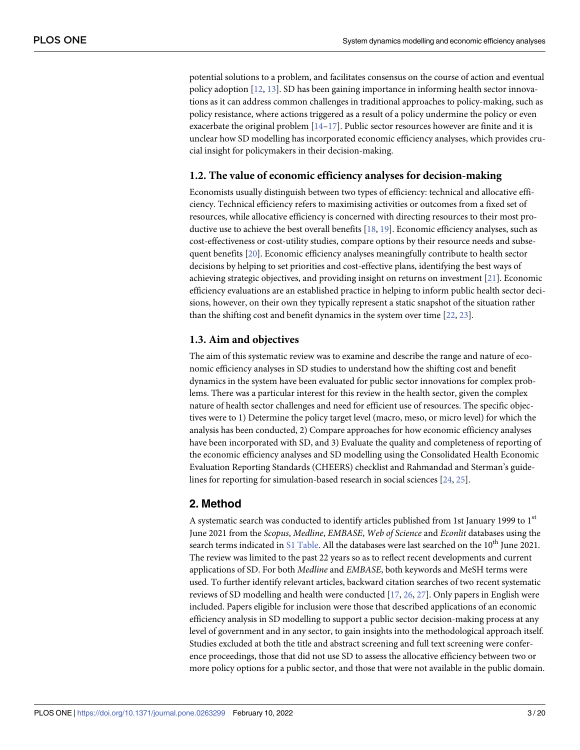<span id="page-2-0"></span>potential solutions to a problem, and facilitates consensus on the course of action and eventual policy adoption [\[12,](#page-16-0) [13\]](#page-16-0). SD has been gaining importance in informing health sector innovations as it can address common challenges in traditional approaches to policy-making, such as policy resistance, where actions triggered as a result of a policy undermine the policy or even exacerbate the original problem  $[14-17]$  $[14-17]$  $[14-17]$ . Public sector resources however are finite and it is unclear how SD modelling has incorporated economic efficiency analyses, which provides crucial insight for policymakers in their decision-making.

#### **1.2. The value of economic efficiency analyses for decision-making**

Economists usually distinguish between two types of efficiency: technical and allocative efficiency. Technical efficiency refers to maximising activities or outcomes from a fixed set of resources, while allocative efficiency is concerned with directing resources to their most pro-ductive use to achieve the best overall benefits [\[18,](#page-17-0) [19\]](#page-17-0). Economic efficiency analyses, such as cost-effectiveness or cost-utility studies, compare options by their resource needs and subsequent benefits [\[20\]](#page-17-0). Economic efficiency analyses meaningfully contribute to health sector decisions by helping to set priorities and cost-effective plans, identifying the best ways of achieving strategic objectives, and providing insight on returns on investment [[21](#page-17-0)]. Economic efficiency evaluations are an established practice in helping to inform public health sector decisions, however, on their own they typically represent a static snapshot of the situation rather than the shifting cost and benefit dynamics in the system over time [\[22,](#page-17-0) [23](#page-17-0)].

#### **1.3. Aim and objectives**

The aim of this systematic review was to examine and describe the range and nature of economic efficiency analyses in SD studies to understand how the shifting cost and benefit dynamics in the system have been evaluated for public sector innovations for complex problems. There was a particular interest for this review in the health sector, given the complex nature of health sector challenges and need for efficient use of resources. The specific objectives were to 1) Determine the policy target level (macro, meso, or micro level) for which the analysis has been conducted, 2) Compare approaches for how economic efficiency analyses have been incorporated with SD, and 3) Evaluate the quality and completeness of reporting of the economic efficiency analyses and SD modelling using the Consolidated Health Economic Evaluation Reporting Standards (CHEERS) checklist and Rahmandad and Sterman's guidelines for reporting for simulation-based research in social sciences [[24](#page-17-0), [25](#page-17-0)].

## **2. Method**

A systematic search was conducted to identify articles published from 1st January 1999 to 1<sup>st</sup> June 2021 from the *Scopus*, *Medline*, *EMBASE*, *Web of Science* and *Econlit* databases using the search terms indicated in S1 [Table](#page-15-0). All the databases were last searched on the  $10^{th}$  June 2021. The review was limited to the past 22 years so as to reflect recent developments and current applications of SD. For both *Medline* and *EMBASE*, both keywords and MeSH terms were used. To further identify relevant articles, backward citation searches of two recent systematic reviews of SD modelling and health were conducted [\[17,](#page-17-0) [26,](#page-17-0) [27\]](#page-17-0). Only papers in English were included. Papers eligible for inclusion were those that described applications of an economic efficiency analysis in SD modelling to support a public sector decision-making process at any level of government and in any sector, to gain insights into the methodological approach itself. Studies excluded at both the title and abstract screening and full text screening were conference proceedings, those that did not use SD to assess the allocative efficiency between two or more policy options for a public sector, and those that were not available in the public domain.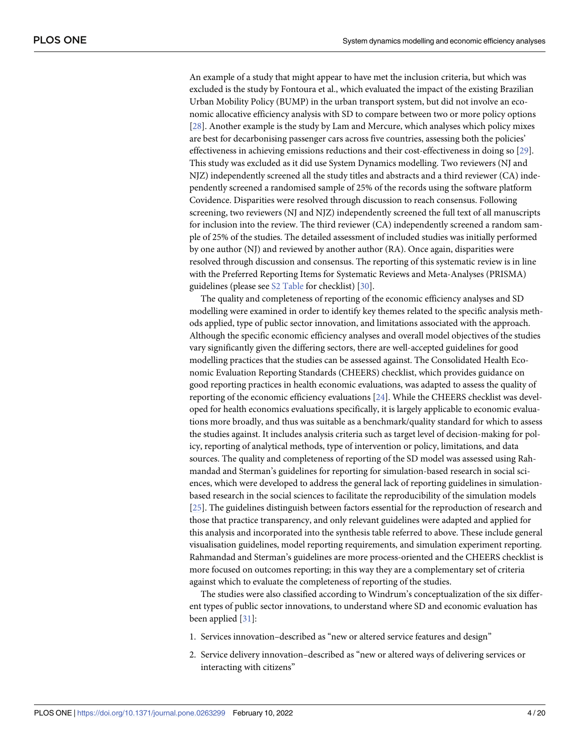<span id="page-3-0"></span>An example of a study that might appear to have met the inclusion criteria, but which was excluded is the study by Fontoura et al., which evaluated the impact of the existing Brazilian Urban Mobility Policy (BUMP) in the urban transport system, but did not involve an economic allocative efficiency analysis with SD to compare between two or more policy options [\[28\]](#page-17-0). Another example is the study by Lam and Mercure, which analyses which policy mixes are best for decarbonising passenger cars across five countries, assessing both the policies' effectiveness in achieving emissions reductions and their cost-effectiveness in doing so [[29](#page-17-0)]. This study was excluded as it did use System Dynamics modelling. Two reviewers (NJ and NJZ) independently screened all the study titles and abstracts and a third reviewer (CA) independently screened a randomised sample of 25% of the records using the software platform Covidence. Disparities were resolved through discussion to reach consensus. Following screening, two reviewers (NJ and NJZ) independently screened the full text of all manuscripts for inclusion into the review. The third reviewer (CA) independently screened a random sample of 25% of the studies. The detailed assessment of included studies was initially performed by one author (NJ) and reviewed by another author (RA). Once again, disparities were resolved through discussion and consensus. The reporting of this systematic review is in line with the Preferred Reporting Items for Systematic Reviews and Meta-Analyses (PRISMA) guidelines (please see S2 [Table](#page-15-0) for checklist) [\[30\]](#page-17-0).

The quality and completeness of reporting of the economic efficiency analyses and SD modelling were examined in order to identify key themes related to the specific analysis methods applied, type of public sector innovation, and limitations associated with the approach. Although the specific economic efficiency analyses and overall model objectives of the studies vary significantly given the differing sectors, there are well-accepted guidelines for good modelling practices that the studies can be assessed against. The Consolidated Health Economic Evaluation Reporting Standards (CHEERS) checklist, which provides guidance on good reporting practices in health economic evaluations, was adapted to assess the quality of reporting of the economic efficiency evaluations [\[24\]](#page-17-0). While the CHEERS checklist was developed for health economics evaluations specifically, it is largely applicable to economic evaluations more broadly, and thus was suitable as a benchmark/quality standard for which to assess the studies against. It includes analysis criteria such as target level of decision-making for policy, reporting of analytical methods, type of intervention or policy, limitations, and data sources. The quality and completeness of reporting of the SD model was assessed using Rahmandad and Sterman's guidelines for reporting for simulation-based research in social sciences, which were developed to address the general lack of reporting guidelines in simulationbased research in the social sciences to facilitate the reproducibility of the simulation models [\[25\]](#page-17-0). The guidelines distinguish between factors essential for the reproduction of research and those that practice transparency, and only relevant guidelines were adapted and applied for this analysis and incorporated into the synthesis table referred to above. These include general visualisation guidelines, model reporting requirements, and simulation experiment reporting. Rahmandad and Sterman's guidelines are more process-oriented and the CHEERS checklist is more focused on outcomes reporting; in this way they are a complementary set of criteria against which to evaluate the completeness of reporting of the studies.

The studies were also classified according to Windrum's conceptualization of the six different types of public sector innovations, to understand where SD and economic evaluation has been applied [\[31\]](#page-17-0):

- 1. Services innovation–described as "new or altered service features and design"
- 2. Service delivery innovation–described as "new or altered ways of delivering services or interacting with citizens"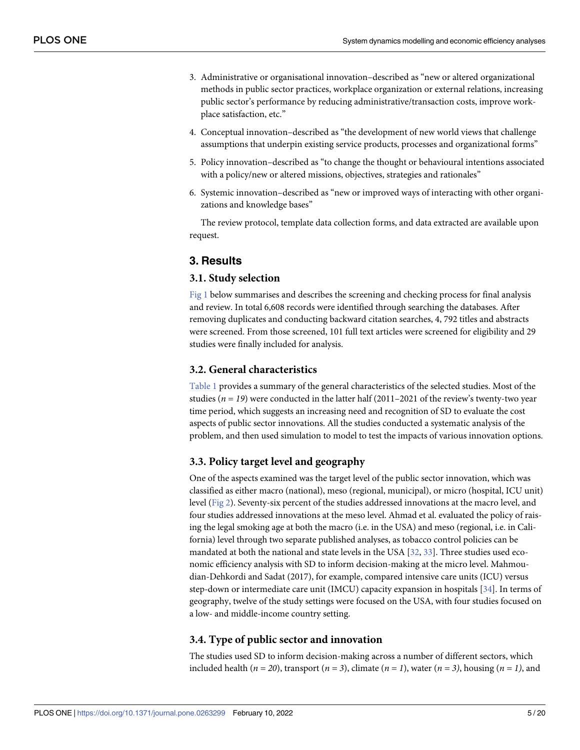- <span id="page-4-0"></span>3. Administrative or organisational innovation–described as "new or altered organizational methods in public sector practices, workplace organization or external relations, increasing public sector's performance by reducing administrative/transaction costs, improve workplace satisfaction, etc."
- 4. Conceptual innovation–described as "the development of new world views that challenge assumptions that underpin existing service products, processes and organizational forms"
- 5. Policy innovation–described as "to change the thought or behavioural intentions associated with a policy/new or altered missions, objectives, strategies and rationales"
- 6. Systemic innovation–described as "new or improved ways of interacting with other organizations and knowledge bases"

The review protocol, template data collection forms, and data extracted are available upon request.

### **3. Results**

#### **3.1. Study selection**

[Fig](#page-5-0) 1 below summarises and describes the screening and checking process for final analysis and review. In total 6,608 records were identified through searching the databases. After removing duplicates and conducting backward citation searches, 4, 792 titles and abstracts were screened. From those screened, 101 full text articles were screened for eligibility and 29 studies were finally included for analysis.

## **3.2. General characteristics**

[Table](#page-6-0) 1 provides a summary of the general characteristics of the selected studies. Most of the studies ( $n = 19$ ) were conducted in the latter half (2011–2021 of the review's twenty-two year time period, which suggests an increasing need and recognition of SD to evaluate the cost aspects of public sector innovations. All the studies conducted a systematic analysis of the problem, and then used simulation to model to test the impacts of various innovation options.

#### **3.3. Policy target level and geography**

One of the aspects examined was the target level of the public sector innovation, which was classified as either macro (national), meso (regional, municipal), or micro (hospital, ICU unit) level ([Fig](#page-10-0) 2). Seventy-six percent of the studies addressed innovations at the macro level, and four studies addressed innovations at the meso level. Ahmad et al. evaluated the policy of raising the legal smoking age at both the macro (i.e. in the USA) and meso (regional, i.e. in California) level through two separate published analyses, as tobacco control policies can be mandated at both the national and state levels in the USA [\[32,](#page-17-0) [33\]](#page-17-0). Three studies used economic efficiency analysis with SD to inform decision-making at the micro level. Mahmoudian-Dehkordi and Sadat (2017), for example, compared intensive care units (ICU) versus step-down or intermediate care unit (IMCU) capacity expansion in hospitals [\[34\]](#page-17-0). In terms of geography, twelve of the study settings were focused on the USA, with four studies focused on a low- and middle-income country setting.

#### **3.4. Type of public sector and innovation**

The studies used SD to inform decision-making across a number of different sectors, which included health  $(n = 20)$ , transport  $(n = 3)$ , climate  $(n = 1)$ , water  $(n = 3)$ , housing  $(n = 1)$ , and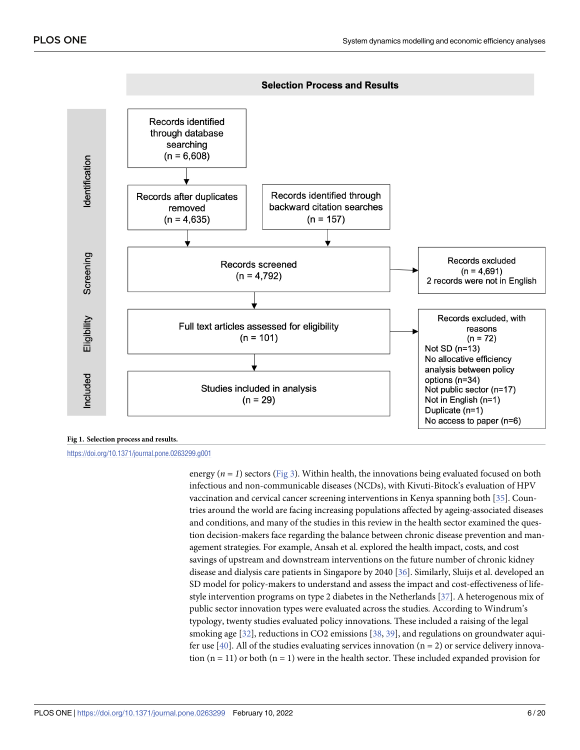<span id="page-5-0"></span>

#### **[Fig](#page-4-0) 1. Selection process and results.**

#### <https://doi.org/10.1371/journal.pone.0263299.g001>

energy  $(n = 1)$  sectors [\(Fig](#page-10-0) 3). Within health, the innovations being evaluated focused on both infectious and non-communicable diseases (NCDs), with Kivuti-Bitock's evaluation of HPV vaccination and cervical cancer screening interventions in Kenya spanning both [[35](#page-17-0)]. Countries around the world are facing increasing populations affected by ageing-associated diseases and conditions, and many of the studies in this review in the health sector examined the question decision-makers face regarding the balance between chronic disease prevention and management strategies. For example, Ansah et al. explored the health impact, costs, and cost savings of upstream and downstream interventions on the future number of chronic kidney disease and dialysis care patients in Singapore by 2040 [\[36\]](#page-17-0). Similarly, Sluijs et al. developed an SD model for policy-makers to understand and assess the impact and cost-effectiveness of lifestyle intervention programs on type 2 diabetes in the Netherlands [[37](#page-17-0)]. A heterogenous mix of public sector innovation types were evaluated across the studies. According to Windrum's typology, twenty studies evaluated policy innovations. These included a raising of the legal smoking age [[32](#page-17-0)], reductions in CO2 emissions [[38](#page-18-0), [39\]](#page-18-0), and regulations on groundwater aquifer use  $[40]$  $[40]$  $[40]$ . All of the studies evaluating services innovation (n = 2) or service delivery innovation  $(n = 11)$  or both  $(n = 1)$  were in the health sector. These included expanded provision for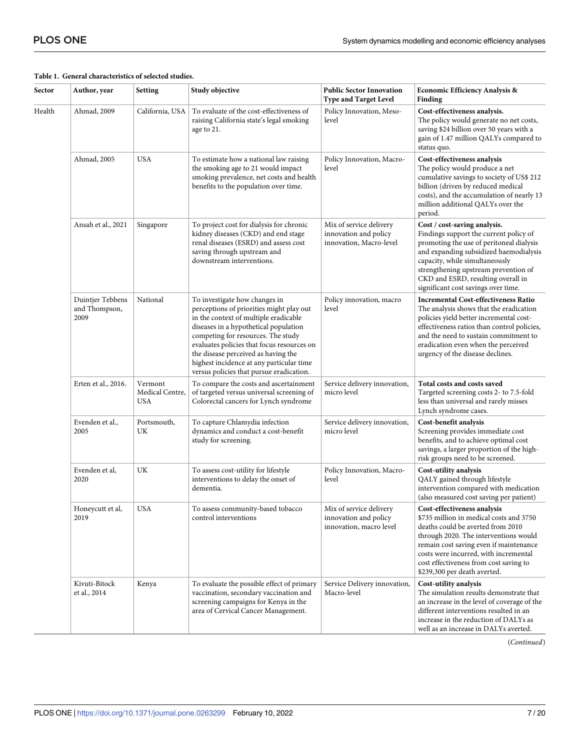|                                                  | General enaracteristics of sciected studi |                                          |                                                                                                                                                                                                                                                                                                                                                                                |                                                                             |                                                                                                                                                                                                                                                                                                                     |
|--------------------------------------------------|-------------------------------------------|------------------------------------------|--------------------------------------------------------------------------------------------------------------------------------------------------------------------------------------------------------------------------------------------------------------------------------------------------------------------------------------------------------------------------------|-----------------------------------------------------------------------------|---------------------------------------------------------------------------------------------------------------------------------------------------------------------------------------------------------------------------------------------------------------------------------------------------------------------|
|                                                  | Author, year                              | <b>Setting</b>                           | Study objective                                                                                                                                                                                                                                                                                                                                                                | <b>Public Sector Innovation</b><br><b>Type and Target Level</b>             | Economic Efficiency Analysis &<br>Finding                                                                                                                                                                                                                                                                           |
|                                                  | Ahmad, 2009                               | California, USA                          | To evaluate of the cost-effectiveness of<br>raising California state's legal smoking<br>age to 21.                                                                                                                                                                                                                                                                             | Policy Innovation, Meso-<br>level                                           | Cost-effectiveness analysis.<br>The policy would generate no net costs,<br>saving \$24 billion over 50 years with a<br>gain of 1.47 million QALYs compared to<br>status quo.                                                                                                                                        |
| Sector<br>Health<br>2009<br>2005<br>2020<br>2019 | Ahmad, 2005                               | <b>USA</b>                               | To estimate how a national law raising<br>the smoking age to 21 would impact<br>smoking prevalence, net costs and health<br>benefits to the population over time.                                                                                                                                                                                                              | Policy Innovation, Macro-<br>level                                          | Cost-effectiveness analysis<br>The policy would produce a net<br>cumulative savings to society of US\$ 212<br>billion (driven by reduced medical<br>costs), and the accumulation of nearly 13<br>million additional QALYs over the<br>period.                                                                       |
|                                                  | Ansah et al., 2021                        | Singapore                                | To project cost for dialysis for chronic<br>kidney diseases (CKD) and end stage<br>renal diseases (ESRD) and assess cost<br>saving through upstream and<br>downstream interventions.                                                                                                                                                                                           | Mix of service delivery<br>innovation and policy<br>innovation, Macro-level | Cost / cost-saving analysis.<br>Findings support the current policy of<br>promoting the use of peritoneal dialysis<br>and expanding subsidized haemodialysis<br>capacity, while simultaneously<br>strengthening upstream prevention of<br>CKD and ESRD, resulting overall in<br>significant cost savings over time. |
|                                                  | Duintjer Tebbens<br>and Thompson,         | National                                 | To investigate how changes in<br>perceptions of priorities might play out<br>in the context of multiple eradicable<br>diseases in a hypothetical population<br>competing for resources. The study<br>evaluates policies that focus resources on<br>the disease perceived as having the<br>highest incidence at any particular time<br>versus policies that pursue eradication. | Policy innovation, macro<br>level                                           | <b>Incremental Cost-effectiveness Ratio</b><br>The analysis shows that the eradication<br>policies yield better incremental cost-<br>effectiveness ratios than control policies,<br>and the need to sustain commitment to<br>eradication even when the perceived<br>urgency of the disease declines.                |
|                                                  | Erten et al., 2016.                       | Vermont<br>Medical Centre,<br><b>USA</b> | To compare the costs and ascertainment<br>of targeted versus universal screening of<br>Colorectal cancers for Lynch syndrome                                                                                                                                                                                                                                                   | Service delivery innovation,<br>micro level                                 | Total costs and costs saved<br>Targeted screening costs 2- to 7.5-fold<br>less than universal and rarely misses<br>Lynch syndrome cases.                                                                                                                                                                            |
|                                                  | Evenden et al.,                           | Portsmouth,<br>UK                        | To capture Chlamydia infection<br>dynamics and conduct a cost-benefit<br>study for screening.                                                                                                                                                                                                                                                                                  | Service delivery innovation,<br>micro level                                 | Cost-benefit analysis<br>Screening provides immediate cost<br>benefits, and to achieve optimal cost<br>savings, a larger proportion of the high-<br>risk groups need to be screened.                                                                                                                                |
|                                                  | Evenden et al,                            | UK                                       | To assess cost-utility for lifestyle<br>interventions to delay the onset of<br>dementia.                                                                                                                                                                                                                                                                                       | Policy Innovation, Macro-<br>level                                          | Cost-utility analysis<br>QALY gained through lifestyle<br>intervention compared with medication<br>(also measured cost saving per patient)                                                                                                                                                                          |
|                                                  | Honeycutt et al,                          | <b>USA</b>                               | To assess community-based tobacco<br>control interventions                                                                                                                                                                                                                                                                                                                     | Mix of service delivery<br>innovation and policy<br>innovation, macro level | Cost-effectiveness analysis<br>\$735 million in medical costs and 3750<br>deaths could be averted from 2010<br>through 2020. The interventions would<br>remain cost saving even if maintenance<br>costs were incurred, with incremental<br>cost effectiveness from cost saving to<br>\$239,300 per death averted.   |
|                                                  | Kivuti-Bitock<br>et al., 2014             | Kenya                                    | To evaluate the possible effect of primary<br>vaccination, secondary vaccination and<br>screening campaigns for Kenya in the<br>area of Cervical Cancer Management.                                                                                                                                                                                                            | Service Delivery innovation,<br>Macro-level                                 | Cost-utility analysis<br>The simulation results demonstrate that<br>an increase in the level of coverage of the<br>different interventions resulted in an<br>increase in the reduction of DALYs as<br>well as an increase in DALYs averted.                                                                         |

### <span id="page-6-0"></span>**[Table](#page-11-0) 1. General characteristics of selected studies.**

(*Continued*)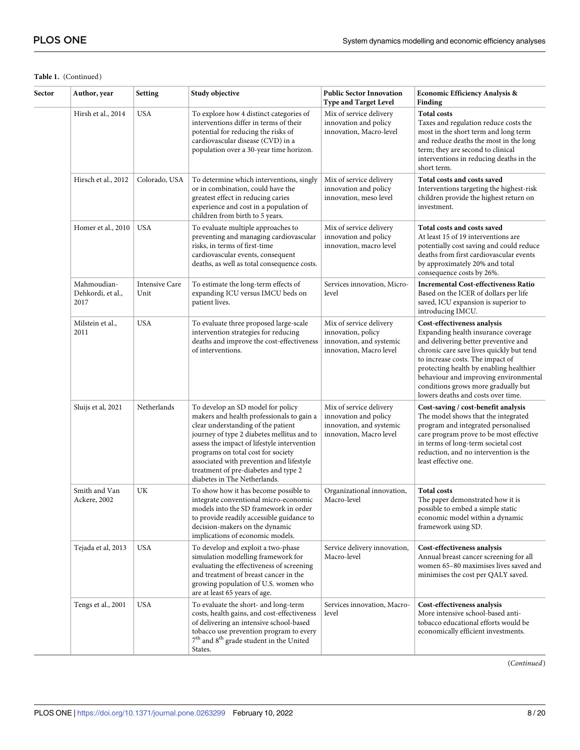### **Table 1.** (Continued)

| Sector | Author, year                             | Setting                       | Study objective                                                                                                                                                                                                                                                                                                                                                             | <b>Public Sector Innovation</b><br><b>Type and Target Level</b>                                         | Economic Efficiency Analysis &<br>Finding                                                                                                                                                                                                                                                                                                                   |  |  |  |  |  |  |  |
|--------|------------------------------------------|-------------------------------|-----------------------------------------------------------------------------------------------------------------------------------------------------------------------------------------------------------------------------------------------------------------------------------------------------------------------------------------------------------------------------|---------------------------------------------------------------------------------------------------------|-------------------------------------------------------------------------------------------------------------------------------------------------------------------------------------------------------------------------------------------------------------------------------------------------------------------------------------------------------------|--|--|--|--|--|--|--|
|        | Hirsh et al., 2014                       | <b>USA</b>                    | To explore how 4 distinct categories of<br>interventions differ in terms of their<br>potential for reducing the risks of<br>cardiovascular disease (CVD) in a<br>population over a 30-year time horizon.                                                                                                                                                                    | Mix of service delivery<br>innovation and policy<br>innovation, Macro-level                             | <b>Total costs</b><br>Taxes and regulation reduce costs the<br>most in the short term and long term<br>and reduce deaths the most in the long<br>term; they are second to clinical<br>interventions in reducing deaths in the<br>short term.                                                                                                                |  |  |  |  |  |  |  |
|        | Hirsch et al., 2012                      | Colorado, USA                 | To determine which interventions, singly<br>or in combination, could have the<br>greatest effect in reducing caries<br>experience and cost in a population of<br>children from birth to 5 years.                                                                                                                                                                            | Mix of service delivery<br>innovation and policy<br>innovation, meso level                              | Total costs and costs saved<br>Interventions targeting the highest-risk<br>children provide the highest return on<br>investment.                                                                                                                                                                                                                            |  |  |  |  |  |  |  |
|        | Homer et al., 2010                       | <b>USA</b>                    | To evaluate multiple approaches to<br>preventing and managing cardiovascular<br>risks, in terms of first-time<br>cardiovascular events, consequent<br>deaths, as well as total consequence costs.                                                                                                                                                                           | Mix of service delivery<br>innovation and policy<br>innovation, macro level                             | Total costs and costs saved<br>At least 15 of 19 interventions are<br>potentially cost saving and could reduce<br>deaths from first cardiovascular events<br>by approximately 20% and total<br>consequence costs by 26%.                                                                                                                                    |  |  |  |  |  |  |  |
|        | Mahmoudian-<br>Dehkordi, et al.,<br>2017 | <b>Intensive Care</b><br>Unit | To estimate the long-term effects of<br>expanding ICU versus IMCU beds on<br>patient lives.                                                                                                                                                                                                                                                                                 | Services innovation, Micro-<br>level                                                                    | <b>Incremental Cost-effectiveness Ratio</b><br>Based on the ICER of dollars per life<br>saved, ICU expansion is superior to<br>introducing IMCU.                                                                                                                                                                                                            |  |  |  |  |  |  |  |
|        | Milstein et al.,<br>2011                 | <b>USA</b>                    | To evaluate three proposed large-scale<br>intervention strategies for reducing<br>deaths and improve the cost-effectiveness<br>of interventions.                                                                                                                                                                                                                            | Mix of service delivery<br>innovation, policy<br>innovation, and systemic<br>innovation, Macro level    | Cost-effectiveness analysis<br>Expanding health insurance coverage<br>and delivering better preventive and<br>chronic care save lives quickly but tend<br>to increase costs. The impact of<br>protecting health by enabling healthier<br>behaviour and improving environmental<br>conditions grows more gradually but<br>lowers deaths and costs over time. |  |  |  |  |  |  |  |
|        | Sluijs et al, 2021                       | Netherlands                   | To develop an SD model for policy<br>makers and health professionals to gain a<br>clear understanding of the patient<br>journey of type 2 diabetes mellitus and to<br>assess the impact of lifestyle intervention<br>programs on total cost for society<br>associated with prevention and lifestyle<br>treatment of pre-diabetes and type 2<br>diabetes in The Netherlands. | Mix of service delivery<br>innovation and policy<br>innovation, and systemic<br>innovation, Macro level | Cost-saving / cost-benefit analysis<br>The model shows that the integrated<br>program and integrated personalised<br>care program prove to be most effective<br>in terms of long-term societal cost<br>reduction, and no intervention is the<br>least effective one.                                                                                        |  |  |  |  |  |  |  |
|        | Smith and Van<br>Ackere, 2002            | UK                            | To show how it has become possible to<br>integrate conventional micro-economic<br>models into the SD framework in order<br>to provide readily accessible guidance to<br>decision-makers on the dynamic<br>implications of economic models.                                                                                                                                  | Organizational innovation,<br>Macro-level                                                               | <b>Total costs</b><br>The paper demonstrated how it is<br>possible to embed a simple static<br>economic model within a dynamic<br>framework using SD.                                                                                                                                                                                                       |  |  |  |  |  |  |  |
|        | Tejada et al, 2013                       | <b>USA</b>                    | To develop and exploit a two-phase<br>simulation modelling framework for<br>evaluating the effectiveness of screening<br>and treatment of breast cancer in the<br>growing population of U.S. women who<br>are at least 65 years of age.                                                                                                                                     | Service delivery innovation,<br>Macro-level                                                             | Cost-effectiveness analysis<br>Annual breast cancer screening for all<br>women 65-80 maximises lives saved and<br>minimises the cost per QALY saved.                                                                                                                                                                                                        |  |  |  |  |  |  |  |
|        | Tengs et al., 2001                       | <b>USA</b>                    | To evaluate the short- and long-term<br>costs, health gains, and cost-effectiveness<br>of delivering an intensive school-based<br>tobacco use prevention program to every<br>7 <sup>th</sup> and 8 <sup>th</sup> grade student in the United<br>States.                                                                                                                     | Services innovation, Macro-<br>level                                                                    | Cost-effectiveness analysis<br>More intensive school-based anti-<br>tobacco educational efforts would be<br>economically efficient investments.                                                                                                                                                                                                             |  |  |  |  |  |  |  |

(*Continued*)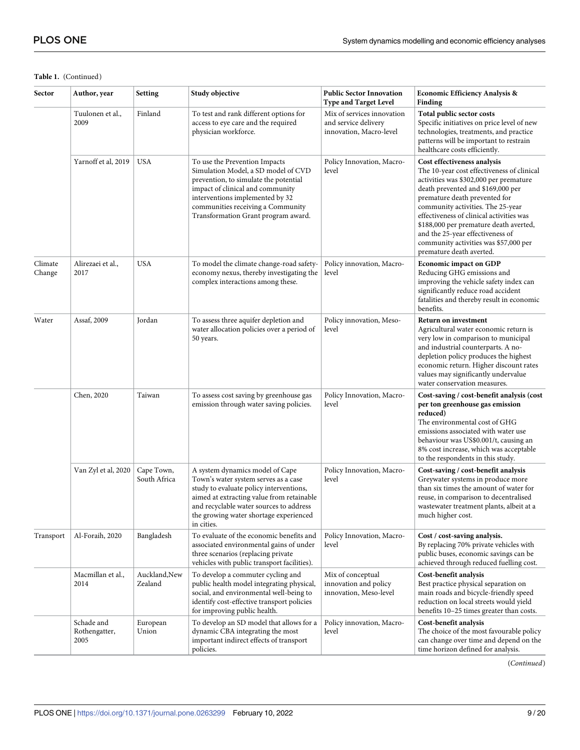## **Table 1.** (Continued)

| Sector            | Author, year                        | <b>Setting</b>             | Study objective                                                                                                                                                                                                                                                    | <b>Public Sector Innovation</b><br><b>Type and Target Level</b>               | <b>Economic Efficiency Analysis &amp;</b><br>Finding                                                                                                                                                                                                                                                                                                                                                                          |  |  |  |  |  |  |
|-------------------|-------------------------------------|----------------------------|--------------------------------------------------------------------------------------------------------------------------------------------------------------------------------------------------------------------------------------------------------------------|-------------------------------------------------------------------------------|-------------------------------------------------------------------------------------------------------------------------------------------------------------------------------------------------------------------------------------------------------------------------------------------------------------------------------------------------------------------------------------------------------------------------------|--|--|--|--|--|--|
|                   | Tuulonen et al.,<br>2009            | Finland                    | To test and rank different options for<br>access to eye care and the required<br>physician workforce.                                                                                                                                                              | Mix of services innovation<br>and service delivery<br>innovation, Macro-level | Total public sector costs<br>Specific initiatives on price level of new<br>technologies, treatments, and practice<br>patterns will be important to restrain<br>healthcare costs efficiently.                                                                                                                                                                                                                                  |  |  |  |  |  |  |
|                   | Yarnoff et al, 2019                 | <b>USA</b>                 | To use the Prevention Impacts<br>Simulation Model, a SD model of CVD<br>prevention, to simulate the potential<br>impact of clinical and community<br>interventions implemented by 32<br>communities receiving a Community<br>Transformation Grant program award.   | Policy Innovation, Macro-<br>level                                            | Cost effectiveness analysis<br>The 10-year cost effectiveness of clinical<br>activities was \$302,000 per premature<br>death prevented and \$169,000 per<br>premature death prevented for<br>community activities. The 25-year<br>effectiveness of clinical activities was<br>\$188,000 per premature death averted,<br>and the 25-year effectiveness of<br>community activities was \$57,000 per<br>premature death averted. |  |  |  |  |  |  |
| Climate<br>Change | Alirezaei et al.,<br>2017           | <b>USA</b>                 | To model the climate change-road safety-<br>economy nexus, thereby investigating the<br>complex interactions among these.                                                                                                                                          | Policy innovation, Macro-<br>level                                            | <b>Economic impact on GDP</b><br>Reducing GHG emissions and<br>improving the vehicle safety index can<br>significantly reduce road accident<br>fatalities and thereby result in economic<br>benefits.                                                                                                                                                                                                                         |  |  |  |  |  |  |
| Water             | Assaf, 2009                         | Jordan                     | To assess three aquifer depletion and<br>water allocation policies over a period of<br>50 years.                                                                                                                                                                   | Policy innovation, Meso-<br>level                                             | <b>Return on investment</b><br>Agricultural water economic return is<br>very low in comparison to municipal<br>and industrial counterparts. A no-<br>depletion policy produces the highest<br>economic return. Higher discount rates<br>values may significantly undervalue<br>water conservation measures.                                                                                                                   |  |  |  |  |  |  |
|                   | Chen, 2020                          | Taiwan                     | To assess cost saving by greenhouse gas<br>emission through water saving policies.                                                                                                                                                                                 | Policy Innovation, Macro-<br>level                                            | Cost-saving / cost-benefit analysis (cost<br>per ton greenhouse gas emission<br>reduced)<br>The environmental cost of GHG<br>emissions associated with water use<br>behaviour was US\$0.001/t, causing an<br>8% cost increase, which was acceptable<br>to the respondents in this study.                                                                                                                                      |  |  |  |  |  |  |
|                   | Van Zyl et al, 2020                 | Cape Town,<br>South Africa | A system dynamics model of Cape<br>Town's water system serves as a case<br>study to evaluate policy interventions,<br>aimed at extracting value from retainable<br>and recyclable water sources to address<br>the growing water shortage experienced<br>in cities. | Policy Innovation, Macro-<br>level                                            | Cost-saving / cost-benefit analysis<br>Greywater systems in produce more<br>than six times the amount of water for<br>reuse, in comparison to decentralised<br>wastewater treatment plants, albeit at a<br>much higher cost.                                                                                                                                                                                                  |  |  |  |  |  |  |
| Transport         | Al-Foraih, 2020                     | Bangladesh                 | To evaluate of the economic benefits and<br>associated environmental gains of under<br>three scenarios (replacing private<br>vehicles with public transport facilities).                                                                                           | Policy Innovation, Macro-<br>level                                            | Cost / cost-saving analysis.<br>By replacing 70% private vehicles with<br>public buses, economic savings can be<br>achieved through reduced fuelling cost.                                                                                                                                                                                                                                                                    |  |  |  |  |  |  |
|                   | Macmillan et al.,<br>2014           | Auckland, New<br>Zealand   | To develop a commuter cycling and<br>public health model integrating physical,<br>social, and environmental well-being to<br>identify cost-effective transport policies<br>for improving public health.                                                            | Mix of conceptual<br>innovation and policy<br>innovation, Meso-level          | Cost-benefit analysis<br>Best practice physical separation on<br>main roads and bicycle-friendly speed<br>reduction on local streets would yield<br>benefits 10-25 times greater than costs.                                                                                                                                                                                                                                  |  |  |  |  |  |  |
|                   | Schade and<br>Rothengatter,<br>2005 | European<br>Union          | To develop an SD model that allows for a<br>dynamic CBA integrating the most<br>important indirect effects of transport<br>policies.                                                                                                                               | Policy innovation, Macro-<br>level                                            | Cost-benefit analysis<br>The choice of the most favourable policy<br>can change over time and depend on the<br>time horizon defined for analysis.                                                                                                                                                                                                                                                                             |  |  |  |  |  |  |

(*Continued*)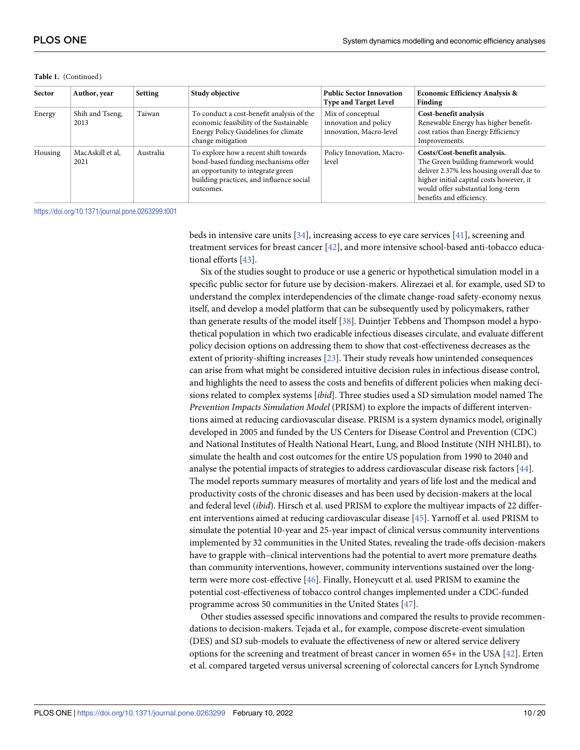| Sector  | Author, year             | Setting   | Study objective                                                                                                                                                            | <b>Public Sector Innovation</b><br><b>Type and Target Level</b>       | <b>Economic Efficiency Analysis &amp;</b><br>Finding                                                                                                                                                                         |  |  |  |  |  |  |
|---------|--------------------------|-----------|----------------------------------------------------------------------------------------------------------------------------------------------------------------------------|-----------------------------------------------------------------------|------------------------------------------------------------------------------------------------------------------------------------------------------------------------------------------------------------------------------|--|--|--|--|--|--|
| Energy  | Shih and Tseng,<br>2013  | Taiwan    | To conduct a cost-benefit analysis of the<br>economic feasibility of the Sustainable<br>Energy Policy Guidelines for climate<br>change mitigation                          | Mix of conceptual<br>innovation and policy<br>innovation, Macro-level | Cost-benefit analysis<br>Renewable Energy has higher benefit-<br>cost ratios than Energy Efficiency<br>Improvements.                                                                                                         |  |  |  |  |  |  |
| Housing | MacAskill et al,<br>2021 | Australia | To explore how a recent shift towards<br>bond-based funding mechanisms offer<br>an opportunity to integrate green<br>building practices, and influence social<br>outcomes. | Policy Innovation, Macro-<br>level                                    | Costs/Cost-benefit analysis.<br>The Green building framework would<br>deliver 2.37% less housing overall due to<br>higher initial capital costs however, it<br>would offer substantial long-term<br>benefits and efficiency. |  |  |  |  |  |  |

<span id="page-9-0"></span>**Table 1.** (Continued)

<https://doi.org/10.1371/journal.pone.0263299.t001>

beds in intensive care units [\[34\]](#page-17-0), increasing access to eye care services [\[41\]](#page-18-0), screening and treatment services for breast cancer [\[42\]](#page-18-0), and more intensive school-based anti-tobacco educational efforts [\[43\]](#page-18-0).

Six of the studies sought to produce or use a generic or hypothetical simulation model in a specific public sector for future use by decision-makers. Alirezaei et al. for example, used SD to understand the complex interdependencies of the climate change-road safety-economy nexus itself, and develop a model platform that can be subsequently used by policymakers, rather than generate results of the model itself [\[38\]](#page-18-0). Duintjer Tebbens and Thompson model a hypothetical population in which two eradicable infectious diseases circulate, and evaluate different policy decision options on addressing them to show that cost-effectiveness decreases as the extent of priority-shifting increases [\[23\]](#page-17-0). Their study reveals how unintended consequences can arise from what might be considered intuitive decision rules in infectious disease control, and highlights the need to assess the costs and benefits of different policies when making decisions related to complex systems [*ibid*]. Three studies used a SD simulation model named The *Prevention Impacts Simulation Model* (PRISM) to explore the impacts of different interventions aimed at reducing cardiovascular disease. PRISM is a system dynamics model, originally developed in 2005 and funded by the US Centers for Disease Control and Prevention (CDC) and National Institutes of Health National Heart, Lung, and Blood Institute (NIH NHLBI), to simulate the health and cost outcomes for the entire US population from 1990 to 2040 and analyse the potential impacts of strategies to address cardiovascular disease risk factors [[44](#page-18-0)]. The model reports summary measures of mortality and years of life lost and the medical and productivity costs of the chronic diseases and has been used by decision-makers at the local and federal level (*ibid*). Hirsch et al. used PRISM to explore the multiyear impacts of 22 different interventions aimed at reducing cardiovascular disease [\[45\]](#page-18-0). Yarnoff et al. used PRISM to simulate the potential 10-year and 25-year impact of clinical versus community interventions implemented by 32 communities in the United States, revealing the trade-offs decision-makers have to grapple with–clinical interventions had the potential to avert more premature deaths than community interventions, however, community interventions sustained over the longterm were more cost-effective [[46](#page-18-0)]. Finally, Honeycutt et al. used PRISM to examine the potential cost-effectiveness of tobacco control changes implemented under a CDC-funded programme across 50 communities in the United States [[47](#page-18-0)].

Other studies assessed specific innovations and compared the results to provide recommendations to decision-makers. Tejada et al., for example, compose discrete-event simulation (DES) and SD sub-models to evaluate the effectiveness of new or altered service delivery options for the screening and treatment of breast cancer in women 65+ in the USA [\[42\]](#page-18-0). Erten et al. compared targeted versus universal screening of colorectal cancers for Lynch Syndrome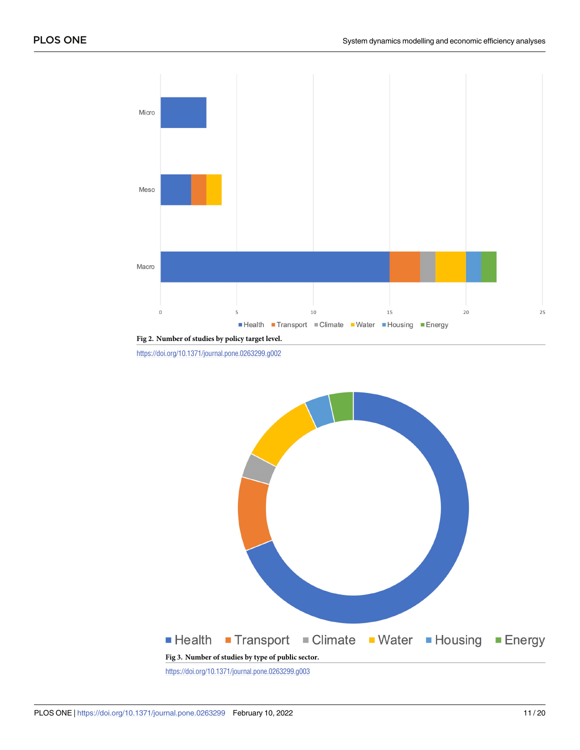<span id="page-10-0"></span>

**[Fig](#page-4-0) 2. Number of studies by policy target level.**

<https://doi.org/10.1371/journal.pone.0263299.g002>

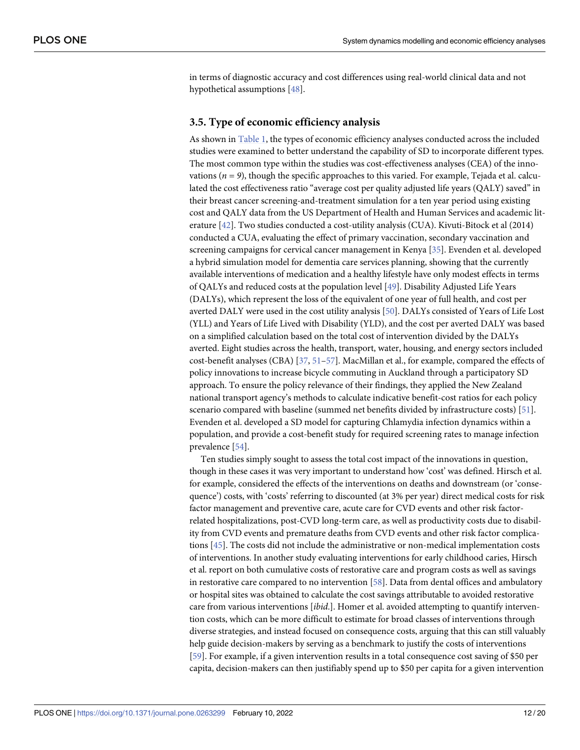<span id="page-11-0"></span>in terms of diagnostic accuracy and cost differences using real-world clinical data and not hypothetical assumptions [\[48\]](#page-18-0).

#### **3.5. Type of economic efficiency analysis**

As shown in [Table](#page-6-0) 1, the types of economic efficiency analyses conducted across the included studies were examined to better understand the capability of SD to incorporate different types. The most common type within the studies was cost-effectiveness analyses (CEA) of the innovations  $(n = 9)$ , though the specific approaches to this varied. For example, Tejada et al. calculated the cost effectiveness ratio "average cost per quality adjusted life years (QALY) saved" in their breast cancer screening-and-treatment simulation for a ten year period using existing cost and QALY data from the US Department of Health and Human Services and academic literature [\[42\]](#page-18-0). Two studies conducted a cost-utility analysis (CUA). Kivuti-Bitock et al (2014) conducted a CUA, evaluating the effect of primary vaccination, secondary vaccination and screening campaigns for cervical cancer management in Kenya [\[35\]](#page-17-0). Evenden et al. developed a hybrid simulation model for dementia care services planning, showing that the currently available interventions of medication and a healthy lifestyle have only modest effects in terms of QALYs and reduced costs at the population level [\[49\]](#page-18-0). Disability Adjusted Life Years (DALYs), which represent the loss of the equivalent of one year of full health, and cost per averted DALY were used in the cost utility analysis [\[50\]](#page-18-0). DALYs consisted of Years of Life Lost (YLL) and Years of Life Lived with Disability (YLD), and the cost per averted DALY was based on a simplified calculation based on the total cost of intervention divided by the DALYs averted. Eight studies across the health, transport, water, housing, and energy sectors included cost-benefit analyses (CBA) [[37](#page-17-0), [51–57\]](#page-18-0). MacMillan et al., for example, compared the effects of policy innovations to increase bicycle commuting in Auckland through a participatory SD approach. To ensure the policy relevance of their findings, they applied the New Zealand national transport agency's methods to calculate indicative benefit-cost ratios for each policy scenario compared with baseline (summed net benefits divided by infrastructure costs) [[51](#page-18-0)]. Evenden et al. developed a SD model for capturing Chlamydia infection dynamics within a population, and provide a cost-benefit study for required screening rates to manage infection prevalence [\[54\]](#page-18-0).

Ten studies simply sought to assess the total cost impact of the innovations in question, though in these cases it was very important to understand how 'cost' was defined. Hirsch et al. for example, considered the effects of the interventions on deaths and downstream (or 'consequence') costs, with 'costs' referring to discounted (at 3% per year) direct medical costs for risk factor management and preventive care, acute care for CVD events and other risk factorrelated hospitalizations, post-CVD long-term care, as well as productivity costs due to disability from CVD events and premature deaths from CVD events and other risk factor complications [\[45\]](#page-18-0). The costs did not include the administrative or non-medical implementation costs of interventions. In another study evaluating interventions for early childhood caries, Hirsch et al. report on both cumulative costs of restorative care and program costs as well as savings in restorative care compared to no intervention [\[58](#page-19-0)]. Data from dental offices and ambulatory or hospital sites was obtained to calculate the cost savings attributable to avoided restorative care from various interventions [*ibid*.]. Homer et al. avoided attempting to quantify intervention costs, which can be more difficult to estimate for broad classes of interventions through diverse strategies, and instead focused on consequence costs, arguing that this can still valuably help guide decision-makers by serving as a benchmark to justify the costs of interventions [\[59\]](#page-19-0). For example, if a given intervention results in a total consequence cost saving of \$50 per capita, decision-makers can then justifiably spend up to \$50 per capita for a given intervention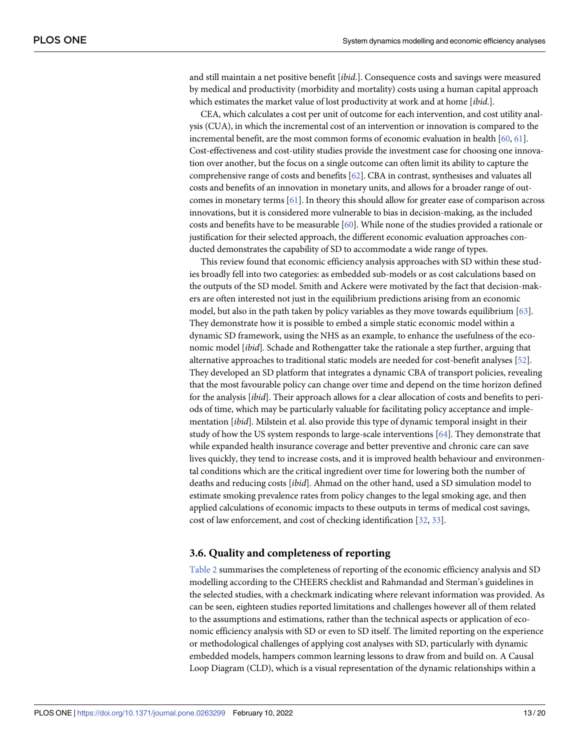<span id="page-12-0"></span>and still maintain a net positive benefit [*ibid*.]. Consequence costs and savings were measured by medical and productivity (morbidity and mortality) costs using a human capital approach which estimates the market value of lost productivity at work and at home [*ibid*.].

CEA, which calculates a cost per unit of outcome for each intervention, and cost utility analysis (CUA), in which the incremental cost of an intervention or innovation is compared to the incremental benefit, are the most common forms of economic evaluation in health [\[60,](#page-19-0) [61](#page-19-0)]. Cost-effectiveness and cost-utility studies provide the investment case for choosing one innovation over another, but the focus on a single outcome can often limit its ability to capture the comprehensive range of costs and benefits [\[62\]](#page-19-0). CBA in contrast, synthesises and valuates all costs and benefits of an innovation in monetary units, and allows for a broader range of outcomes in monetary terms [[61](#page-19-0)]. In theory this should allow for greater ease of comparison across innovations, but it is considered more vulnerable to bias in decision-making, as the included costs and benefits have to be measurable [[60](#page-19-0)]. While none of the studies provided a rationale or justification for their selected approach, the different economic evaluation approaches conducted demonstrates the capability of SD to accommodate a wide range of types.

This review found that economic efficiency analysis approaches with SD within these studies broadly fell into two categories: as embedded sub-models or as cost calculations based on the outputs of the SD model. Smith and Ackere were motivated by the fact that decision-makers are often interested not just in the equilibrium predictions arising from an economic model, but also in the path taken by policy variables as they move towards equilibrium [\[63\]](#page-19-0). They demonstrate how it is possible to embed a simple static economic model within a dynamic SD framework, using the NHS as an example, to enhance the usefulness of the economic model [*ibid*]. Schade and Rothengatter take the rationale a step further, arguing that alternative approaches to traditional static models are needed for cost-benefit analyses [[52](#page-18-0)]. They developed an SD platform that integrates a dynamic CBA of transport policies, revealing that the most favourable policy can change over time and depend on the time horizon defined for the analysis [*ibid*]. Their approach allows for a clear allocation of costs and benefits to periods of time, which may be particularly valuable for facilitating policy acceptance and implementation [*ibid*]. Milstein et al. also provide this type of dynamic temporal insight in their study of how the US system responds to large-scale interventions [\[64\]](#page-19-0). They demonstrate that while expanded health insurance coverage and better preventive and chronic care can save lives quickly, they tend to increase costs, and it is improved health behaviour and environmental conditions which are the critical ingredient over time for lowering both the number of deaths and reducing costs [*ibid*]. Ahmad on the other hand, used a SD simulation model to estimate smoking prevalence rates from policy changes to the legal smoking age, and then applied calculations of economic impacts to these outputs in terms of medical cost savings, cost of law enforcement, and cost of checking identification [\[32,](#page-17-0) [33\]](#page-17-0).

#### **3.6. Quality and completeness of reporting**

[Table](#page-13-0) 2 summarises the completeness of reporting of the economic efficiency analysis and SD modelling according to the CHEERS checklist and Rahmandad and Sterman's guidelines in the selected studies, with a checkmark indicating where relevant information was provided. As can be seen, eighteen studies reported limitations and challenges however all of them related to the assumptions and estimations, rather than the technical aspects or application of economic efficiency analysis with SD or even to SD itself. The limited reporting on the experience or methodological challenges of applying cost analyses with SD, particularly with dynamic embedded models, hampers common learning lessons to draw from and build on. A Causal Loop Diagram (CLD), which is a visual representation of the dynamic relationships within a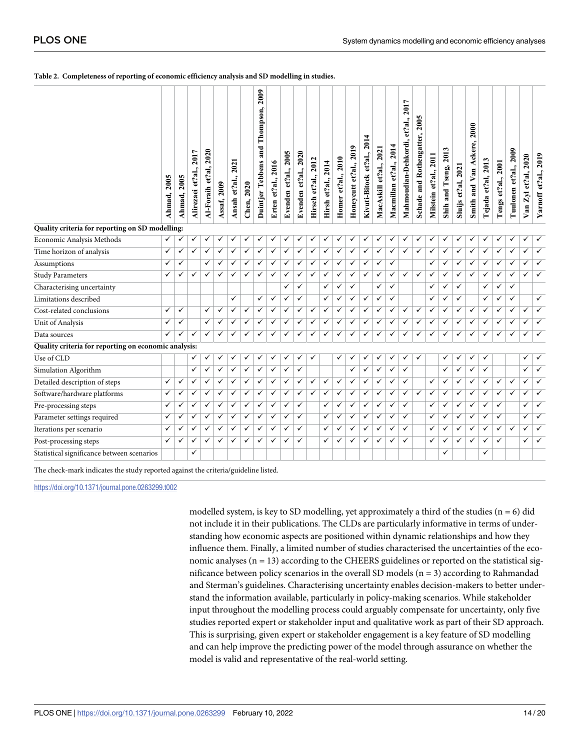#### <span id="page-13-0"></span>**[Table](#page-12-0) 2. Completeness of reporting of economic efficiency analysis and SD modelling in studies.**

|                                                      | 2005<br>Ahmad, | 2005<br>Ahmad, | 2017<br>Alirezaei et?al., | 2020<br>Al-Foraih et?al, | Assaf, 2009  | 2021<br>Ansah et?al., | Chen, 2020              | 2009<br>Thompson,<br>Duintjer Tebbens and | Erten et?al., 2016 | 2005<br>Evenden et?al., | 2020<br>Evenden et?al., | 2012<br>et?al.,<br>Hirsch | 2014<br>et?al.,<br>Hirsh | 2010<br>et?al.,<br>Homer | 2019<br>et?al.,<br>Honeycutt | 2014<br>et?al.,<br>Kivuti-Bitock | 2021<br>MacAskill et?al., | 2014<br>Macmillan et?al., | 2017<br>Mahmoudian-Dehkordi, et?al., | 2005<br>Schade and Rothengatter, | Milstein et?al., 2011   | Shih and Tseng, 2013    | Sluijs et?al, 2021      | 2000<br>Smith and Van Ackere, | Tejada et?al, 2013 | 2001<br>Tengs et?al., | 2009<br>Tuulonen et?al., | 2020<br>et?al,<br>$Z_{\rm y}$<br>Van | Yarnoff et?al., 2019    |
|------------------------------------------------------|----------------|----------------|---------------------------|--------------------------|--------------|-----------------------|-------------------------|-------------------------------------------|--------------------|-------------------------|-------------------------|---------------------------|--------------------------|--------------------------|------------------------------|----------------------------------|---------------------------|---------------------------|--------------------------------------|----------------------------------|-------------------------|-------------------------|-------------------------|-------------------------------|--------------------|-----------------------|--------------------------|--------------------------------------|-------------------------|
| Quality criteria for reporting on SD modelling:      |                |                |                           |                          |              |                       |                         |                                           |                    |                         |                         |                           |                          |                          |                              |                                  |                           |                           |                                      |                                  |                         |                         |                         |                               |                    |                       |                          |                                      |                         |
| Economic Analysis Methods                            | $\checkmark$   | ✓              | ✓                         | ✓                        | ✓            | ✓                     | ✓                       | ✓                                         | ✓                  |                         | ✓                       | ✓                         | ✓                        | ✓                        | ✓                            | ✓                                | ✓                         | ✓                         | ✓                                    | ✓                                | ✓                       | ✓                       | ✓                       | ✓                             | ✓                  | ✓                     | ✓                        | ✓                                    | $\checkmark$            |
| Time horizon of analysis                             | $\checkmark$   | ✓              | ✓                         | $\checkmark$             | $\checkmark$ | $\checkmark$          | $\overline{\checkmark}$ | $\checkmark$                              | $\checkmark$       | ✓                       | $\checkmark$            | $\checkmark$              | $\checkmark$             | $\checkmark$             | $\checkmark$                 | $\checkmark$                     | $\checkmark$              | $\checkmark$              | $\checkmark$                         | ✓                                | $\overline{\checkmark}$ | $\overline{\checkmark}$ | $\checkmark$            | $\checkmark$                  | ✓                  | ✓                     | $\checkmark$             | $\checkmark$                         | $\overline{\checkmark}$ |
| Assumptions                                          | ✓              | ✓              |                           | ✓                        | ✓            | ✓                     | $\overline{\checkmark}$ | $\checkmark$                              | $\checkmark$       | ✓                       | ✓                       | ✓                         | ✓                        | $\checkmark$             | $\checkmark$                 | ✓                                | ✓                         | ✓                         |                                      |                                  | ✓                       | $\checkmark$            | $\overline{\checkmark}$ | ✓                             | ✓                  | ✓                     | ✓                        | ✓                                    | $\checkmark$            |
| <b>Study Parameters</b>                              | $\checkmark$   | ✓              | ✓                         | ✓                        | ✓            | ✓                     | ✓                       | $\checkmark$                              | $\checkmark$       | ✓                       | $\checkmark$            | ✓                         | ✓                        | ✓                        | $\checkmark$                 | $\checkmark$                     | ✓                         | ✓                         | $\checkmark$                         | $\checkmark$                     | ✓                       | $\checkmark$            | $\checkmark$            | ✓                             | ✓                  | ✓                     | ✓                        | ✓                                    | $\overline{\checkmark}$ |
| Characterising uncertainty                           |                |                |                           |                          |              |                       |                         |                                           |                    | ✓                       | $\checkmark$            |                           | ✓                        | ✓                        | $\checkmark$                 |                                  | ✓                         | $\checkmark$              |                                      |                                  | ✓                       | $\checkmark$            | ✓                       |                               | ✓                  | ✓                     | $\checkmark$             |                                      |                         |
| Limitations described                                |                |                |                           |                          |              | ✓                     |                         | $\checkmark$                              | $\checkmark$       | ✓                       | $\checkmark$            |                           | ✓                        | $\checkmark$             | ✓                            | ✓                                | ✓                         | ✓                         |                                      |                                  | ✓                       | ✓                       | ✓                       |                               | ✓                  | ✓                     | ✓                        |                                      | $\checkmark$            |
| Cost-related conclusions                             | ✓              | ✓              |                           | $\checkmark$             | $\checkmark$ | ✓                     | ✓                       | $\checkmark$                              | $\checkmark$       | ✓                       | ✓                       | ✓                         | ✓                        | ✓                        | $\checkmark$                 | ✓                                | ✓                         | ✓                         | $\checkmark$                         | ✓                                | ✓                       | $\checkmark$            | ✓                       | $\checkmark$                  | ✓                  | ✓                     | ✓                        | $\checkmark$                         | $\checkmark$            |
| Unit of Analysis                                     | $\checkmark$   | ✓              |                           | $\checkmark$             | $\checkmark$ | ✓                     | ✓                       | $\checkmark$                              | ✓                  | ✓                       | ✓                       | ✓                         | ✓                        | ✓                        | $\bar{\checkmark}$           | ✓                                | ✓                         | ✓                         | ✓                                    | ✓                                | ✓                       | $\checkmark$            | ✓                       | ✓                             | ✓                  | ✓                     | ✓                        | ✓                                    | $\checkmark$            |
| Data sources                                         | $\checkmark$   | ✓              | ✓                         | ✓                        | ✓            | ✓                     | ✓                       | $\checkmark$                              | ✓                  | ✓                       | ✓                       | ✓                         | ✓                        | ✓                        | ✓                            | ✓                                | ✓                         | ✓                         | ✓                                    | ✓                                | ✓                       | $\checkmark$            | ✓                       | ✓                             | ✓                  | ✓                     | ✓                        | ✓                                    | ✓                       |
| Quality criteria for reporting on economic analysis: |                |                |                           |                          |              |                       |                         |                                           |                    |                         |                         |                           |                          |                          |                              |                                  |                           |                           |                                      |                                  |                         |                         |                         |                               |                    |                       |                          |                                      |                         |
| Use of CLD                                           |                |                | ✓                         | ✓                        | ✓            | ✓                     | ✓                       | ✓                                         | ✓                  | ✓                       | ✓                       | ✓                         |                          | ✓                        | $\checkmark$                 | ✓                                | ✓                         | ✓                         | ✓                                    | ✓                                |                         | ✓                       | ✓                       | ✓                             | ✓                  |                       |                          | ✓                                    | ✓                       |
| Simulation Algorithm                                 |                |                | ✓                         | ✓                        | ✓            | ✓                     | ✓                       | $\checkmark$                              | ✓                  | ✓                       | ✓                       |                           |                          |                          | ✓                            | ✓                                | ✓                         | ✓                         | ✓                                    |                                  |                         | $\checkmark$            | ✓                       | ✓                             | ✓                  |                       |                          | ✓                                    | ✓                       |
| Detailed description of steps                        | $\checkmark$   | ✓              | ✓                         | ✓                        | ✓            | ✓                     | ✓                       | $\checkmark$                              | $\checkmark$       | ✓                       | $\checkmark$            | ✓                         | ✓                        | ✓                        | $\checkmark$                 | ✓                                | ✓                         | ✓                         | ✓                                    |                                  | ✓                       | $\checkmark$            | $\checkmark$            | $\checkmark$                  | ✓                  | ✓                     | ✓                        | ✓                                    | $\checkmark$            |
| Software/hardware platforms                          | $\checkmark$   | ✓              | ✓                         | $\checkmark$             | $\checkmark$ | ✓                     | ✓                       | $\checkmark$                              | ✓                  | ✓                       | ✓                       | ✓                         | ✓                        | $\checkmark$             | $\checkmark$                 | ✓                                | ✓                         | ✓                         | $\checkmark$                         | ✓                                | ✓                       | ✓                       | $\checkmark$            | $\checkmark$                  | ✓                  | ✓                     | $\checkmark$             | ✓                                    | $\checkmark$            |
| Pre-processing steps                                 | ✓              | ✓              | ✓                         | ✓                        | ✓            | ✓                     | ✓                       | $\checkmark$                              | ✓                  | ✓                       | ✓                       |                           | ✓                        | ✓                        | ✓                            | ✓                                | ✓                         | ✓                         | ✓                                    |                                  | ✓                       | ✓                       | ✓                       | ✓                             | ✓                  | ✓                     |                          | ✓                                    | $\checkmark$            |
| Parameter settings required                          | $\checkmark$   | $\checkmark$   | ✓                         | ✓                        | $\checkmark$ | ✓                     | ✓                       | $\checkmark$                              | $\checkmark$       | ✓                       | ✓                       |                           | ✓                        | ✓                        | $\checkmark$                 | ✓                                | ✓                         | ✓                         | $\checkmark$                         |                                  | ✓                       | ✓                       | $\overline{\checkmark}$ | $\checkmark$                  | ✓                  | ✓                     |                          | ✓                                    | $\checkmark$            |
| Iterations per scenario                              | $\checkmark$   | ✓              | ✓                         | ✓                        | $\checkmark$ | ✓                     | ✓                       | $\checkmark$                              | ✓                  | ✓                       | ✓                       |                           | ✓                        | ✓                        | ✓                            | $\checkmark$                     | ✓                         | ✓                         | $\checkmark$                         |                                  | ✓                       | ✓                       | ✓                       | ✓                             | ✓                  | ✓                     | ✓                        | ✓                                    | $\checkmark$            |
| Post-processing steps                                | $\checkmark$   | ✓              | ✓                         | ✓                        | ✓            | ✓                     | ✓                       | ✓                                         | ✓                  | ✓                       | ✓                       |                           | ✓                        | ✓                        | ✓                            | ✓                                | ✓                         | ✓                         | ✓                                    |                                  | ✓                       | ✓                       | ✓                       | ✓                             | ✓                  | ✓                     |                          | ✓                                    | ✓                       |
| Statistical significance between scenarios           |                |                | ✓                         |                          |              |                       |                         |                                           |                    |                         |                         |                           |                          |                          |                              |                                  |                           |                           |                                      |                                  |                         | ✓                       |                         |                               | ✓                  |                       |                          |                                      |                         |

The check-mark indicates the study reported against the criteria/guideline listed.

<https://doi.org/10.1371/journal.pone.0263299.t002>

modelled system, is key to SD modelling, yet approximately a third of the studies  $(n = 6)$  did not include it in their publications. The CLDs are particularly informative in terms of understanding how economic aspects are positioned within dynamic relationships and how they influence them. Finally, a limited number of studies characterised the uncertainties of the economic analyses  $(n = 13)$  according to the CHEERS guidelines or reported on the statistical significance between policy scenarios in the overall SD models  $(n = 3)$  according to Rahmandad and Sterman's guidelines. Characterising uncertainty enables decision-makers to better understand the information available, particularly in policy-making scenarios. While stakeholder input throughout the modelling process could arguably compensate for uncertainty, only five studies reported expert or stakeholder input and qualitative work as part of their SD approach. This is surprising, given expert or stakeholder engagement is a key feature of SD modelling and can help improve the predicting power of the model through assurance on whether the model is valid and representative of the real-world setting.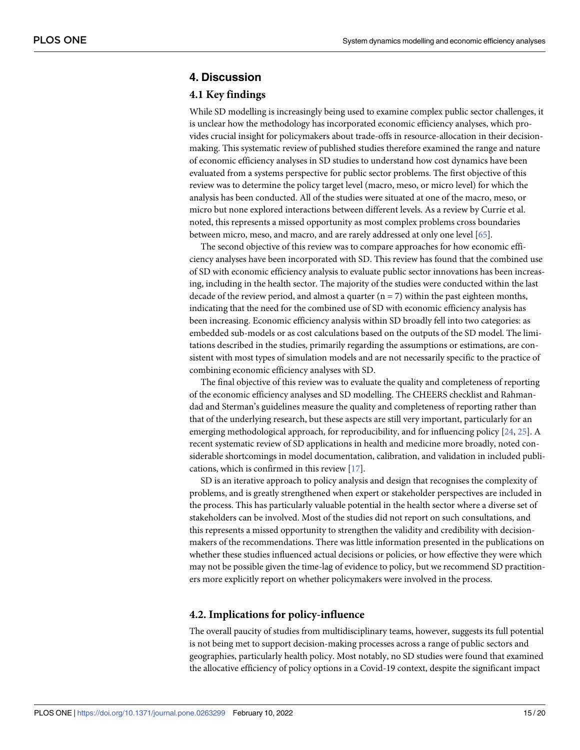## <span id="page-14-0"></span>**4. Discussion**

#### **4.1 Key findings**

While SD modelling is increasingly being used to examine complex public sector challenges, it is unclear how the methodology has incorporated economic efficiency analyses, which provides crucial insight for policymakers about trade-offs in resource-allocation in their decisionmaking. This systematic review of published studies therefore examined the range and nature of economic efficiency analyses in SD studies to understand how cost dynamics have been evaluated from a systems perspective for public sector problems. The first objective of this review was to determine the policy target level (macro, meso, or micro level) for which the analysis has been conducted. All of the studies were situated at one of the macro, meso, or micro but none explored interactions between different levels. As a review by Currie et al. noted, this represents a missed opportunity as most complex problems cross boundaries between micro, meso, and macro, and are rarely addressed at only one level [\[65\]](#page-19-0).

The second objective of this review was to compare approaches for how economic efficiency analyses have been incorporated with SD. This review has found that the combined use of SD with economic efficiency analysis to evaluate public sector innovations has been increasing, including in the health sector. The majority of the studies were conducted within the last decade of the review period, and almost a quarter  $(n = 7)$  within the past eighteen months, indicating that the need for the combined use of SD with economic efficiency analysis has been increasing. Economic efficiency analysis within SD broadly fell into two categories: as embedded sub-models or as cost calculations based on the outputs of the SD model. The limitations described in the studies, primarily regarding the assumptions or estimations, are consistent with most types of simulation models and are not necessarily specific to the practice of combining economic efficiency analyses with SD.

The final objective of this review was to evaluate the quality and completeness of reporting of the economic efficiency analyses and SD modelling. The CHEERS checklist and Rahmandad and Sterman's guidelines measure the quality and completeness of reporting rather than that of the underlying research, but these aspects are still very important, particularly for an emerging methodological approach, for reproducibility, and for influencing policy [[24](#page-17-0), [25](#page-17-0)]. A recent systematic review of SD applications in health and medicine more broadly, noted considerable shortcomings in model documentation, calibration, and validation in included publications, which is confirmed in this review [[17](#page-17-0)].

SD is an iterative approach to policy analysis and design that recognises the complexity of problems, and is greatly strengthened when expert or stakeholder perspectives are included in the process. This has particularly valuable potential in the health sector where a diverse set of stakeholders can be involved. Most of the studies did not report on such consultations, and this represents a missed opportunity to strengthen the validity and credibility with decisionmakers of the recommendations. There was little information presented in the publications on whether these studies influenced actual decisions or policies, or how effective they were which may not be possible given the time-lag of evidence to policy, but we recommend SD practitioners more explicitly report on whether policymakers were involved in the process.

### **4.2. Implications for policy-influence**

The overall paucity of studies from multidisciplinary teams, however, suggests its full potential is not being met to support decision-making processes across a range of public sectors and geographies, particularly health policy. Most notably, no SD studies were found that examined the allocative efficiency of policy options in a Covid-19 context, despite the significant impact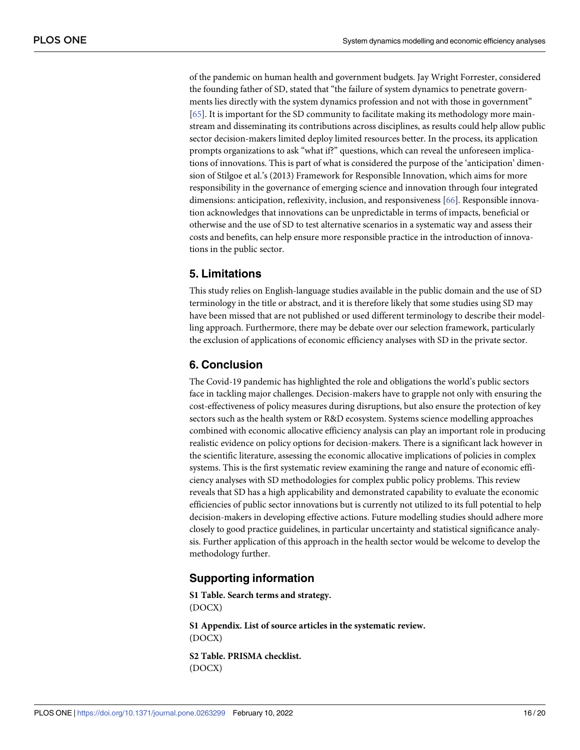<span id="page-15-0"></span>of the pandemic on human health and government budgets. Jay Wright Forrester, considered the founding father of SD, stated that "the failure of system dynamics to penetrate governments lies directly with the system dynamics profession and not with those in government" [\[65\]](#page-19-0). It is important for the SD community to facilitate making its methodology more mainstream and disseminating its contributions across disciplines, as results could help allow public sector decision-makers limited deploy limited resources better. In the process, its application prompts organizations to ask "what if?" questions, which can reveal the unforeseen implications of innovations. This is part of what is considered the purpose of the 'anticipation' dimension of Stilgoe et al.'s (2013) Framework for Responsible Innovation, which aims for more responsibility in the governance of emerging science and innovation through four integrated dimensions: anticipation, reflexivity, inclusion, and responsiveness [\[66\]](#page-19-0). Responsible innovation acknowledges that innovations can be unpredictable in terms of impacts, beneficial or otherwise and the use of SD to test alternative scenarios in a systematic way and assess their costs and benefits, can help ensure more responsible practice in the introduction of innovations in the public sector.

## **5. Limitations**

This study relies on English-language studies available in the public domain and the use of SD terminology in the title or abstract, and it is therefore likely that some studies using SD may have been missed that are not published or used different terminology to describe their modelling approach. Furthermore, there may be debate over our selection framework, particularly the exclusion of applications of economic efficiency analyses with SD in the private sector.

# **6. Conclusion**

The Covid-19 pandemic has highlighted the role and obligations the world's public sectors face in tackling major challenges. Decision-makers have to grapple not only with ensuring the cost-effectiveness of policy measures during disruptions, but also ensure the protection of key sectors such as the health system or R&D ecosystem. Systems science modelling approaches combined with economic allocative efficiency analysis can play an important role in producing realistic evidence on policy options for decision-makers. There is a significant lack however in the scientific literature, assessing the economic allocative implications of policies in complex systems. This is the first systematic review examining the range and nature of economic efficiency analyses with SD methodologies for complex public policy problems. This review reveals that SD has a high applicability and demonstrated capability to evaluate the economic efficiencies of public sector innovations but is currently not utilized to its full potential to help decision-makers in developing effective actions. Future modelling studies should adhere more closely to good practice guidelines, in particular uncertainty and statistical significance analysis. Further application of this approach in the health sector would be welcome to develop the methodology further.

## **Supporting information**

**S1 [Table.](http://www.plosone.org/article/fetchSingleRepresentation.action?uri=info:doi/10.1371/journal.pone.0263299.s001) Search terms and strategy.** (DOCX)

**S1 [Appendix](http://www.plosone.org/article/fetchSingleRepresentation.action?uri=info:doi/10.1371/journal.pone.0263299.s002). List of source articles in the systematic review.** (DOCX)

**S2 [Table.](http://www.plosone.org/article/fetchSingleRepresentation.action?uri=info:doi/10.1371/journal.pone.0263299.s003) PRISMA checklist.** (DOCX)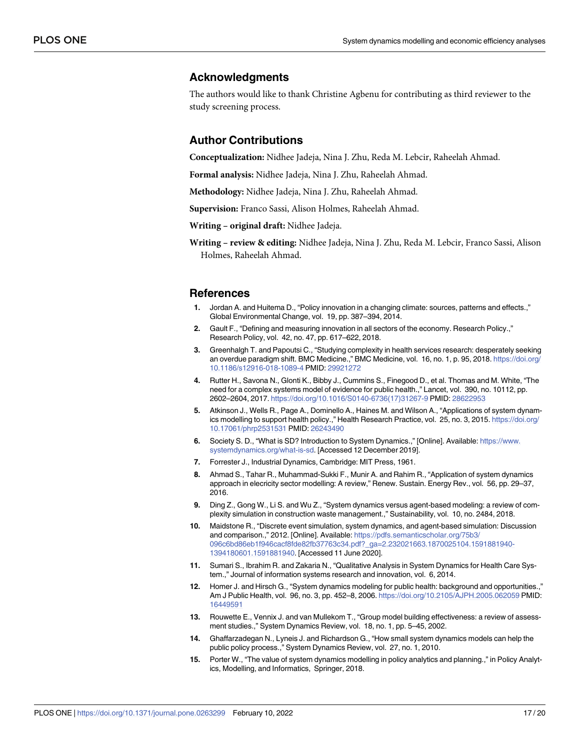### <span id="page-16-0"></span>**Acknowledgments**

The authors would like to thank Christine Agbenu for contributing as third reviewer to the study screening process.

## **Author Contributions**

**Conceptualization:** Nidhee Jadeja, Nina J. Zhu, Reda M. Lebcir, Raheelah Ahmad.

**Formal analysis:** Nidhee Jadeja, Nina J. Zhu, Raheelah Ahmad.

**Methodology:** Nidhee Jadeja, Nina J. Zhu, Raheelah Ahmad.

**Supervision:** Franco Sassi, Alison Holmes, Raheelah Ahmad.

**Writing – original draft:** Nidhee Jadeja.

**Writing – review & editing:** Nidhee Jadeja, Nina J. Zhu, Reda M. Lebcir, Franco Sassi, Alison Holmes, Raheelah Ahmad.

#### **References**

- **[1](#page-1-0).** Jordan A. and Huitema D., "Policy innovation in a changing climate: sources, patterns and effects.," Global Environmental Change, vol. 19, pp. 387–394, 2014.
- **[2](#page-1-0).** Gault F., "Defining and measuring innovation in all sectors of the economy. Research Policy.," Research Policy, vol. 42, no. 47, pp. 617–622, 2018.
- **[3](#page-1-0).** Greenhalgh T. and Papoutsi C., "Studying complexity in health services research: desperately seeking an overdue paradigm shift. BMC Medicine.," BMC Medicine, vol. 16, no. 1, p. 95, 2018. [https://doi.org/](https://doi.org/10.1186/s12916-018-1089-4) [10.1186/s12916-018-1089-4](https://doi.org/10.1186/s12916-018-1089-4) PMID: [29921272](http://www.ncbi.nlm.nih.gov/pubmed/29921272)
- **[4](#page-1-0).** Rutter H., Savona N., Glonti K., Bibby J., Cummins S., Finegood D., et al. Thomas and M. White, "The need for a complex systems model of evidence for public health.," Lancet, vol. 390, no. 10112, pp. 2602–2604, 2017. [https://doi.org/10.1016/S0140-6736\(17\)31267-9](https://doi.org/10.1016/S0140-6736(17)31267-9) PMID: [28622953](http://www.ncbi.nlm.nih.gov/pubmed/28622953)
- **[5](#page-1-0).** Atkinson J., Wells R., Page A., Dominello A., Haines M. and Wilson A., "Applications of system dynamics modelling to support health policy.," Health Research Practice, vol. 25, no. 3, 2015. [https://doi.org/](https://doi.org/10.17061/phrp2531531) [10.17061/phrp2531531](https://doi.org/10.17061/phrp2531531) PMID: [26243490](http://www.ncbi.nlm.nih.gov/pubmed/26243490)
- **[6](#page-1-0).** Society S. D., "What is SD? Introduction to System Dynamics.," [Online]. Available: [https://www.](https://www.systemdynamics.org/what-is-sd) [systemdynamics.org/what-is-sd](https://www.systemdynamics.org/what-is-sd). [Accessed 12 December 2019].
- **[7](#page-1-0).** Forrester J., Industrial Dynamics, Cambridge: MIT Press, 1961.
- **[8](#page-1-0).** Ahmad S., Tahar R., Muhammad-Sukki F., Munir A. and Rahim R., "Application of system dynamics approach in elecricity sector modelling: A review," Renew. Sustain. Energy Rev., vol. 56, pp. 29–37, 2016.
- **[9](#page-1-0).** Ding Z., Gong W., Li S. and Wu Z., "System dynamics versus agent-based modeling: a review of complexity simulation in construction waste management.," Sustainability, vol. 10, no. 2484, 2018.
- **[10](#page-1-0).** Maidstone R., "Discrete event simulation, system dynamics, and agent-based simulation: Discussion and comparison.," 2012. [Online]. Available: [https://pdfs.semanticscholar.org/75b3/](https://pdfs.semanticscholar.org/75b3/096c6bd86eb1f946cacf8fde82fb37763c34.pdf?_ga=2.232021663.1870025104.1591881940-1394180601.1591881940) [096c6bd86eb1f946cacf8fde82fb37763c34.pdf?\\_ga=2.232021663.1870025104.1591881940-](https://pdfs.semanticscholar.org/75b3/096c6bd86eb1f946cacf8fde82fb37763c34.pdf?_ga=2.232021663.1870025104.1591881940-1394180601.1591881940) [1394180601.1591881940](https://pdfs.semanticscholar.org/75b3/096c6bd86eb1f946cacf8fde82fb37763c34.pdf?_ga=2.232021663.1870025104.1591881940-1394180601.1591881940). [Accessed 11 June 2020].
- **[11](#page-1-0).** Sumari S., Ibrahim R. and Zakaria N., "Qualitative Analysis in System Dynamics for Health Care System.," Journal of information systems research and innovation, vol. 6, 2014.
- **[12](#page-2-0).** Homer J. and Hirsch G., "System dynamics modeling for public health: background and opportunities.," Am J Public Health, vol. 96, no. 3, pp. 452–8, 2006. <https://doi.org/10.2105/AJPH.2005.062059> PMID: [16449591](http://www.ncbi.nlm.nih.gov/pubmed/16449591)
- **[13](#page-2-0).** Rouwette E., Vennix J. and van Mullekom T., "Group model building effectiveness: a review of assessment studies.," System Dynamics Review, vol. 18, no. 1, pp. 5–45, 2002.
- **[14](#page-2-0).** Ghaffarzadegan N., Lyneis J. and Richardson G., "How small system dynamics models can help the public policy process.," System Dynamics Review, vol. 27, no. 1, 2010.
- **15.** Porter W., "The value of system dynamics modelling in policy analytics and planning.," in Policy Analytics, Modelling, and Informatics, Springer, 2018.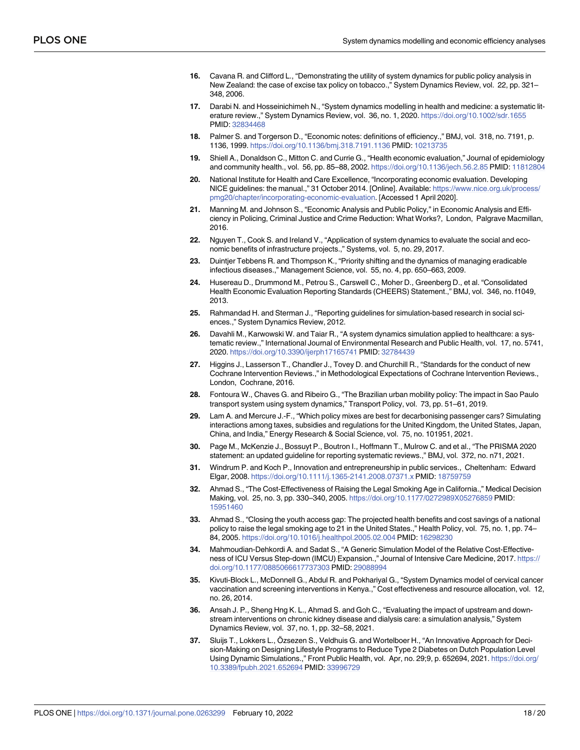- <span id="page-17-0"></span>**16.** Cavana R. and Clifford L., "Demonstrating the utility of system dynamics for public policy analysis in New Zealand: the case of excise tax policy on tobacco.," System Dynamics Review, vol. 22, pp. 321– 348, 2006.
- **[17](#page-2-0).** Darabi N. and Hosseinichimeh N., "System dynamics modelling in health and medicine: a systematic literature review.," System Dynamics Review, vol. 36, no. 1, 2020. <https://doi.org/10.1002/sdr.1655> PMID: [32834468](http://www.ncbi.nlm.nih.gov/pubmed/32834468)
- **[18](#page-2-0).** Palmer S. and Torgerson D., "Economic notes: definitions of efficiency.," BMJ, vol. 318, no. 7191, p. 1136, 1999. <https://doi.org/10.1136/bmj.318.7191.1136> PMID: [10213735](http://www.ncbi.nlm.nih.gov/pubmed/10213735)
- **[19](#page-2-0).** Shiell A., Donaldson C., Mitton C. and Currie G., "Health economic evaluation," Journal of epidemiology and community health., vol. 56, pp. 85–88, 2002. <https://doi.org/10.1136/jech.56.2.85> PMID: [11812804](http://www.ncbi.nlm.nih.gov/pubmed/11812804)
- **[20](#page-2-0).** National Institute for Health and Care Excellence, "Incorporating economic evaluation. Developing NICE guidelines: the manual.," 31 October 2014. [Online]. Available: [https://www.nice.org.uk/process/](https://www.nice.org.uk/process/pmg20/chapter/incorporating-economic-evaluation) [pmg20/chapter/incorporating-economic-evaluation](https://www.nice.org.uk/process/pmg20/chapter/incorporating-economic-evaluation). [Accessed 1 April 2020].
- **[21](#page-2-0).** Manning M. and Johnson S., "Economic Analysis and Public Policy," in Economic Analysis and Efficiency in Policing, Criminal Justice and Crime Reduction: What Works?, London, Palgrave Macmillan, 2016.
- **[22](#page-2-0).** Nguyen T., Cook S. and Ireland V., "Application of system dynamics to evaluate the social and economic benefits of infrastructure projects.," Systems, vol. 5, no. 29, 2017.
- **[23](#page-9-0).** Duintjer Tebbens R. and Thompson K., "Priority shifting and the dynamics of managing eradicable infectious diseases.," Management Science, vol. 55, no. 4, pp. 650–663, 2009.
- **[24](#page-14-0).** Husereau D., Drummond M., Petrou S., Carswell C., Moher D., Greenberg D., et al. "Consolidated Health Economic Evaluation Reporting Standards (CHEERS) Statement.," BMJ, vol. 346, no. f1049, 2013.
- **[25](#page-3-0).** Rahmandad H. and Sterman J., "Reporting guidelines for simulation-based research in social sciences.," System Dynamics Review, 2012.
- **[26](#page-2-0).** Davahli M., Karwowski W. and Taiar R., "A system dynamics simulation applied to healthcare: a systematic review.," International Journal of Environmental Research and Public Health, vol. 17, no. 5741, 2020. <https://doi.org/10.3390/ijerph17165741> PMID: [32784439](http://www.ncbi.nlm.nih.gov/pubmed/32784439)
- **[27](#page-2-0).** Higgins J., Lasserson T., Chandler J., Tovey D. and Churchill R., "Standards for the conduct of new Cochrane Intervention Reviews.," in Methodological Expectations of Cochrane Intervention Reviews., London, Cochrane, 2016.
- **[28](#page-3-0).** Fontoura W., Chaves G. and Ribeiro G., "The Brazilian urban mobility policy: The impact in Sao Paulo transport system using system dynamics," Transport Policy, vol. 73, pp. 51–61, 2019.
- **[29](#page-3-0).** Lam A. and Mercure J.-F., "Which policy mixes are best for decarbonising passenger cars? Simulating interactions among taxes, subsidies and regulations for the United Kingdom, the United States, Japan, China, and India," Energy Research & Social Science, vol. 75, no. 101951, 2021.
- **[30](#page-3-0).** Page M., McKenzie J., Bossuyt P., Boutron I., Hoffmann T., Mulrow C. and et al., "The PRISMA 2020 statement: an updated guideline for reporting systematic reviews.," BMJ, vol. 372, no. n71, 2021.
- **[31](#page-3-0).** Windrum P. and Koch P., Innovation and entrepreneurship in public services., Cheltenham: Edward Elgar, 2008. <https://doi.org/10.1111/j.1365-2141.2008.07371.x> PMID: [18759759](http://www.ncbi.nlm.nih.gov/pubmed/18759759)
- **[32](#page-12-0).** Ahmad S., "The Cost-Effectiveness of Raising the Legal Smoking Age in California.," Medical Decision Making, vol. 25, no. 3, pp. 330–340, 2005. <https://doi.org/10.1177/0272989X05276859> PMID: [15951460](http://www.ncbi.nlm.nih.gov/pubmed/15951460)
- **[33](#page-4-0).** Ahmad S., "Closing the youth access gap: The projected health benefits and cost savings of a national policy to raise the legal smoking age to 21 in the United States.," Health Policy, vol. 75, no. 1, pp. 74– 84, 2005. <https://doi.org/10.1016/j.healthpol.2005.02.004> PMID: [16298230](http://www.ncbi.nlm.nih.gov/pubmed/16298230)
- **[34](#page-9-0).** Mahmoudian-Dehkordi A. and Sadat S., "A Generic Simulation Model of the Relative Cost-Effectiveness of ICU Versus Step-down (IMCU) Expansion.," Journal of Intensive Care Medicine, 2017. [https://](https://doi.org/10.1177/0885066617737303) [doi.org/10.1177/0885066617737303](https://doi.org/10.1177/0885066617737303) PMID: [29088994](http://www.ncbi.nlm.nih.gov/pubmed/29088994)
- **[35](#page-11-0).** Kivuti-Block L., McDonnell G., Abdul R. and Pokhariyal G., "System Dynamics model of cervical cancer vaccination and screening interventions in Kenya.," Cost effectiveness and resource allocation, vol. 12, no. 26, 2014.
- **[36](#page-5-0).** Ansah J. P., Sheng Hng K. L., Ahmad S. and Goh C., "Evaluating the impact of upstream and downstream interventions on chronic kidney disease and dialysis care: a simulation analysis," System Dynamics Review, vol. 37, no. 1, pp. 32–58, 2021.
- **[37](#page-5-0).** Sluijs T., Lokkers L., Özsezen S., Veldhuis G. and Wortelboer H., "An Innovative Approach for Decision-Making on Designing Lifestyle Programs to Reduce Type 2 Diabetes on Dutch Population Level Using Dynamic Simulations.," Front Public Health, vol. Apr, no. 29;9, p. 652694, 2021. [https://doi.org/](https://doi.org/10.3389/fpubh.2021.652694) [10.3389/fpubh.2021.652694](https://doi.org/10.3389/fpubh.2021.652694) PMID: [33996729](http://www.ncbi.nlm.nih.gov/pubmed/33996729)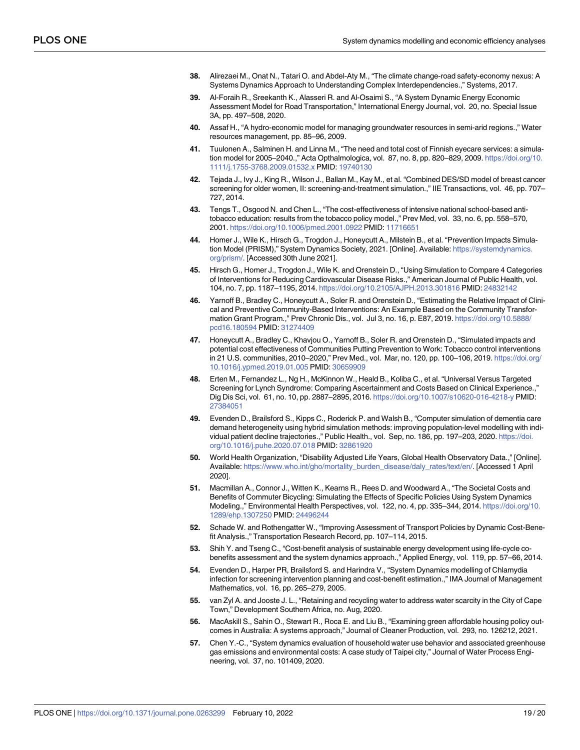- <span id="page-18-0"></span>**[38](#page-5-0).** Alirezaei M., Onat N., Tatari O. and Abdel-Aty M., "The climate change-road safety-economy nexus: A Systems Dynamics Approach to Understanding Complex Interdependencies.," Systems, 2017.
- **[39](#page-5-0).** Al-Foraih R., Sreekanth K., Alasseri R. and Al-Osaimi S., "A System Dynamic Energy Economic Assessment Model for Road Transportation," International Energy Journal, vol. 20, no. Special Issue 3A, pp. 497–508, 2020.
- **[40](#page-5-0).** Assaf H., "A hydro-economic model for managing groundwater resources in semi-arid regions.," Water resources management, pp. 85–96, 2009.
- **[41](#page-9-0).** Tuulonen A., Salminen H. and Linna M., "The need and total cost of Finnish eyecare services: a simulation model for 2005–2040.," Acta Opthalmologica, vol. 87, no. 8, pp. 820–829, 2009. [https://doi.org/10.](https://doi.org/10.1111/j.1755-3768.2009.01532.x) [1111/j.1755-3768.2009.01532.x](https://doi.org/10.1111/j.1755-3768.2009.01532.x) PMID: [19740130](http://www.ncbi.nlm.nih.gov/pubmed/19740130)
- **[42](#page-9-0).** Tejada J., Ivy J., King R., Wilson J., Ballan M., Kay M., et al. "Combined DES/SD model of breast cancer screening for older women, II: screening-and-treatment simulation.," IIE Transactions, vol. 46, pp. 707– 727, 2014.
- **[43](#page-9-0).** Tengs T., Osgood N. and Chen L., "The cost-effectiveness of intensive national school-based antitobacco education: results from the tobacco policy model.," Prev Med, vol. 33, no. 6, pp. 558–570, 2001. <https://doi.org/10.1006/pmed.2001.0922> PMID: [11716651](http://www.ncbi.nlm.nih.gov/pubmed/11716651)
- **[44](#page-9-0).** Homer J., Wile K., Hirsch G., Trogdon J., Honeycutt A., Milstein B., et al. "Prevention Impacts Simulation Model (PRISM)," System Dynamics Society, 2021. [Online]. Available: [https://systemdynamics.](https://systemdynamics.org/prism/) [org/prism/](https://systemdynamics.org/prism/). [Accessed 30th June 2021].
- **[45](#page-9-0).** Hirsch G., Homer J., Trogdon J., Wile K. and Orenstein D., "Using Simulation to Compare 4 Categories of Interventions for Reducing Cardiovascular Disease Risks.," American Journal of Public Health, vol. 104, no. 7, pp. 1187–1195, 2014. <https://doi.org/10.2105/AJPH.2013.301816> PMID: [24832142](http://www.ncbi.nlm.nih.gov/pubmed/24832142)
- **[46](#page-9-0).** Yarnoff B., Bradley C., Honeycutt A., Soler R. and Orenstein D., "Estimating the Relative Impact of Clinical and Preventive Community-Based Interventions: An Example Based on the Community Transformation Grant Program.," Prev Chronic Dis., vol. Jul 3, no. 16, p. E87, 2019. [https://doi.org/10.5888/](https://doi.org/10.5888/pcd16.180594) [pcd16.180594](https://doi.org/10.5888/pcd16.180594) PMID: [31274409](http://www.ncbi.nlm.nih.gov/pubmed/31274409)
- **[47](#page-9-0).** Honeycutt A., Bradley C., Khavjou O., Yarnoff B., Soler R. and Orenstein D., "Simulated impacts and potential cost effectiveness of Communities Putting Prevention to Work: Tobacco control interventions in 21 U.S. communities, 2010–2020," Prev Med., vol. Mar, no. 120, pp. 100–106, 2019. [https://doi.org/](https://doi.org/10.1016/j.ypmed.2019.01.005) [10.1016/j.ypmed.2019.01.005](https://doi.org/10.1016/j.ypmed.2019.01.005) PMID: [30659909](http://www.ncbi.nlm.nih.gov/pubmed/30659909)
- **[48](#page-11-0).** Erten M., Fernandez L., Ng H., McKinnon W., Heald B., Koliba C., et al. "Universal Versus Targeted Screening for Lynch Syndrome: Comparing Ascertainment and Costs Based on Clinical Experience.," Dig Dis Sci, vol. 61, no. 10, pp. 2887–2895, 2016. <https://doi.org/10.1007/s10620-016-4218-y> PMID: [27384051](http://www.ncbi.nlm.nih.gov/pubmed/27384051)
- **[49](#page-11-0).** Evenden D., Brailsford S., Kipps C., Roderick P. and Walsh B., "Computer simulation of dementia care demand heterogeneity using hybrid simulation methods: improving population-level modelling with individual patient decline trajectories.," Public Health., vol. Sep, no. 186, pp. 197–203, 2020. [https://doi.](https://doi.org/10.1016/j.puhe.2020.07.018) [org/10.1016/j.puhe.2020.07.018](https://doi.org/10.1016/j.puhe.2020.07.018) PMID: [32861920](http://www.ncbi.nlm.nih.gov/pubmed/32861920)
- **[50](#page-11-0).** World Health Organization, "Disability Adjusted Life Years, Global Health Observatory Data.," [Online]. Available: [https://www.who.int/gho/mortality\\_burden\\_disease/daly\\_rates/text/en/](https://www.who.int/gho/mortality_burden_disease/daly_rates/text/en/). [Accessed 1 April 2020].
- **[51](#page-11-0).** Macmillan A., Connor J., Witten K., Kearns R., Rees D. and Woodward A., "The Societal Costs and Benefits of Commuter Bicycling: Simulating the Effects of Specific Policies Using System Dynamics Modeling.," Environmental Health Perspectives, vol. 122, no. 4, pp. 335–344, 2014. [https://doi.org/10.](https://doi.org/10.1289/ehp.1307250) [1289/ehp.1307250](https://doi.org/10.1289/ehp.1307250) PMID: [24496244](http://www.ncbi.nlm.nih.gov/pubmed/24496244)
- **[52](#page-12-0).** Schade W. and Rothengatter W., "Improving Assessment of Transport Policies by Dynamic Cost-Benefit Analysis.," Transportation Research Record, pp. 107–114, 2015.
- **53.** Shih Y. and Tseng C., "Cost-benefit analysis of sustainable energy development using life-cycle cobenefits assessment and the system dynamics approach.," Applied Energy, vol. 119, pp. 57–66, 2014.
- **[54](#page-11-0).** Evenden D., Harper PR, Brailsford S. and Harindra V., "System Dynamics modelling of Chlamydia infection for screening intervention planning and cost-benefit estimation.," IMA Journal of Management Mathematics, vol. 16, pp. 265–279, 2005.
- **55.** van Zyl A. and Jooste J. L., "Retaining and recycling water to address water scarcity in the City of Cape Town," Development Southern Africa, no. Aug, 2020.
- **56.** MacAskill S., Sahin O., Stewart R., Roca E. and Liu B., "Examining green affordable housing policy outcomes in Australia: A systems approach," Journal of Cleaner Production, vol. 293, no. 126212, 2021.
- **[57](#page-11-0).** Chen Y.-C., "System dynamics evaluation of household water use behavior and associated greenhouse gas emissions and environmental costs: A case study of Taipei city," Journal of Water Process Engineering, vol. 37, no. 101409, 2020.